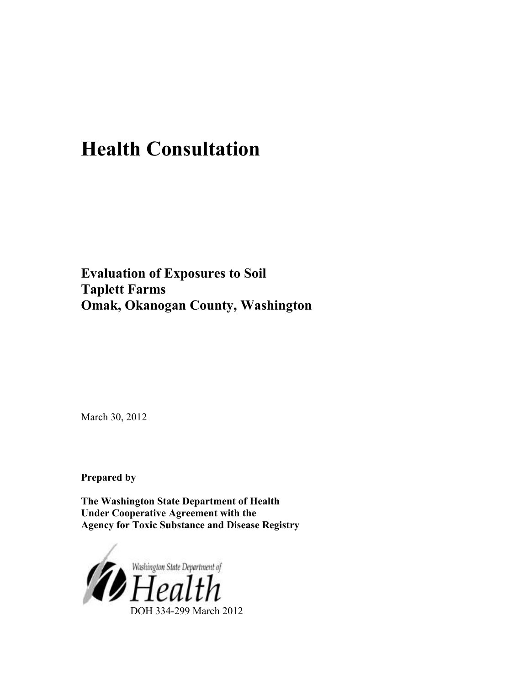# **Health Consultation**

**Evaluation of Exposures to Soil Taplett Farms Omak, Okanogan County, Washington** 

March 30, 2012

**Prepared by** 

**The Washington State Department of Health Under Cooperative Agreement with the Agency for Toxic Substance and Disease Registry** 

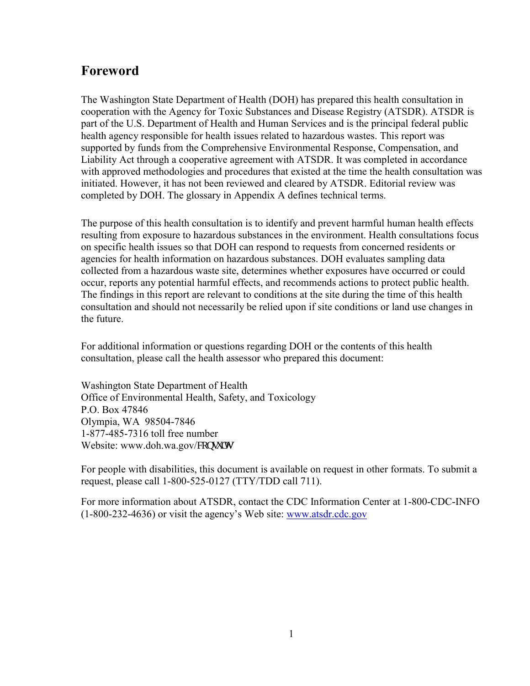## <span id="page-1-0"></span>**Foreword**

The Washington State Department of Health (DOH) has prepared this health consultation in cooperation with the Agency for Toxic Substances and Disease Registry (ATSDR). ATSDR is part of the U.S. Department of Health and Human Services and is the principal federal public health agency responsible for health issues related to hazardous wastes. This report was supported by funds from the Comprehensive Environmental Response, Compensation, and Liability Act through a cooperative agreement with ATSDR. It was completed in accordance with approved methodologies and procedures that existed at the time the health consultation was initiated. However, it has not been reviewed and cleared by ATSDR. Editorial review was completed by DOH. The glossary in Appendix A defines technical terms.

The purpose of this health consultation is to identify and prevent harmful human health effects resulting from exposure to hazardous substances in the environment. Health consultations focus on specific health issues so that DOH can respond to requests from concerned residents or agencies for health information on hazardous substances. DOH evaluates sampling data collected from a hazardous waste site, determines whether exposures have occurred or could occur, reports any potential harmful effects, and recommends actions to protect public health. The findings in this report are relevant to conditions at the site during the time of this health consultation and should not necessarily be relied upon if site conditions or land use changes in the future.

For additional information or questions regarding DOH or the contents of this health consultation, please call the health assessor who prepared this document:

Washington State Department of Health Office of Environmental Health, Safety, and Toxicology P.O. Box 47846 Olympia, WA 98504-7846 1-877-485-7316 toll free number Website: [www.doh.wa.gov/](http://www.doh.wa.gov/consults)eqpuww

For people with disabilities, this document is available on request in other formats. To submit a request, please call 1-800-525-0127 (TTY/TDD call 711).

For more information about ATSDR, contact the CDC Information Center at 1-800-CDC-INFO (1-800-232-4636) or visit the agency's Web site: [www.atsdr.cdc.gov](http://www.atsdr.cdc.gov/)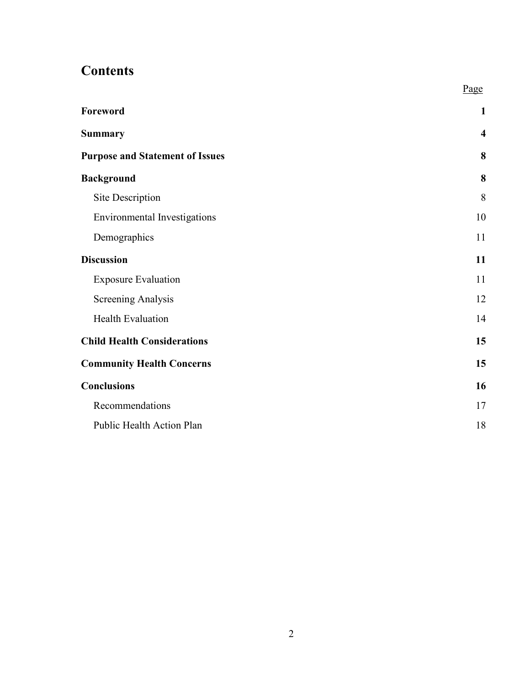# **Contents**

|                                        | Page                    |
|----------------------------------------|-------------------------|
| Foreword                               | $\mathbf{1}$            |
| <b>Summary</b>                         | $\overline{\mathbf{4}}$ |
| <b>Purpose and Statement of Issues</b> | 8                       |
| <b>Background</b>                      | 8                       |
| Site Description                       | 8                       |
| <b>Environmental Investigations</b>    | 10                      |
| Demographics                           | 11                      |
| <b>Discussion</b>                      | 11                      |
| <b>Exposure Evaluation</b>             | 11                      |
| Screening Analysis                     | 12                      |
| <b>Health Evaluation</b>               | 14                      |
| <b>Child Health Considerations</b>     | 15                      |
| <b>Community Health Concerns</b>       | 15                      |
| <b>Conclusions</b>                     | 16                      |
| Recommendations                        | 17                      |
| Public Health Action Plan              | 18                      |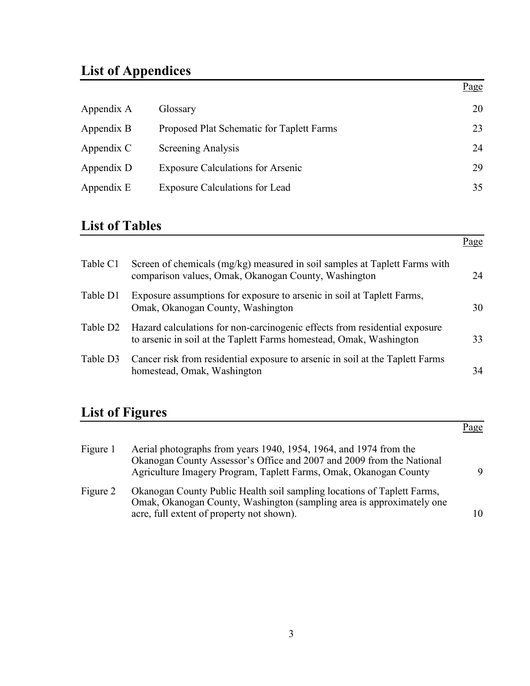# **List of Appendices**

|            |                                           | Page |
|------------|-------------------------------------------|------|
| Appendix A | Glossary                                  | 20   |
| Appendix B | Proposed Plat Schematic for Taplett Farms | 23   |
| Appendix C | <b>Screening Analysis</b>                 | 24   |
| Appendix D | <b>Exposure Calculations for Arsenic</b>  | 29   |
| Appendix E | <b>Exposure Calculations for Lead</b>     | 35   |

## **List of Tables**

|                      |                                                                                                                                                   | Page |
|----------------------|---------------------------------------------------------------------------------------------------------------------------------------------------|------|
| Table C1             | Screen of chemicals (mg/kg) measured in soil samples at Taplett Farms with<br>comparison values, Omak, Okanogan County, Washington                | 24   |
| Table D1             | Exposure assumptions for exposure to arsenic in soil at Taplett Farms,<br>Omak, Okanogan County, Washington                                       | 30   |
| Table D <sub>2</sub> | Hazard calculations for non-carcinogenic effects from residential exposure<br>to arsenic in soil at the Taplett Farms homestead, Omak, Washington | 33   |
| Table D3             | Cancer risk from residential exposure to arsenic in soil at the Taplett Farms<br>homestead, Omak, Washington                                      | 34   |

# **List of Figures**

|          |                                                                                                                                                                                                                 | Page |
|----------|-----------------------------------------------------------------------------------------------------------------------------------------------------------------------------------------------------------------|------|
| Figure 1 | Aerial photographs from years 1940, 1954, 1964, and 1974 from the<br>Okanogan County Assessor's Office and 2007 and 2009 from the National<br>Agriculture Imagery Program, Taplett Farms, Omak, Okanogan County | 9    |
| Figure 2 | Okanogan County Public Health soil sampling locations of Taplett Farms,<br>Omak, Okanogan County, Washington (sampling area is approximately one<br>acre, full extent of property not shown).                   | 10   |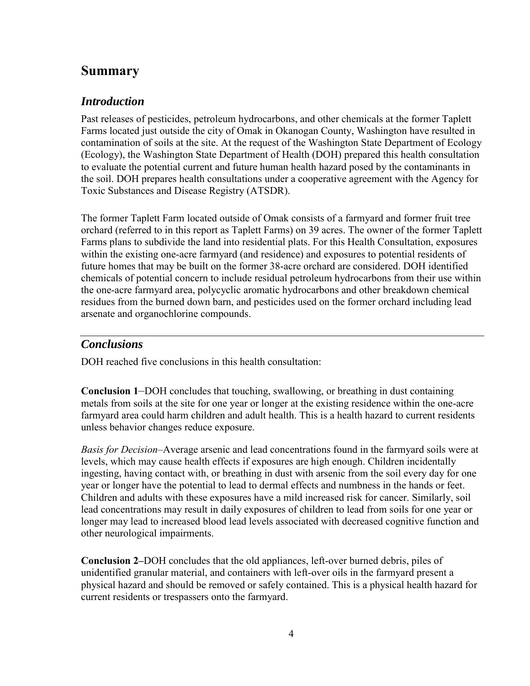### <span id="page-4-0"></span>**Summary**

### *Introduction*

Past releases of pesticides, petroleum hydrocarbons, and other chemicals at the former Taplett Farms located just outside the city of Omak in Okanogan County, Washington have resulted in contamination of soils at the site. At the request of the Washington State Department of Ecology (Ecology), the Washington State Department of Health (DOH) prepared this health consultation to evaluate the potential current and future human health hazard posed by the contaminants in the soil. DOH prepares health consultations under a cooperative agreement with the Agency for Toxic Substances and Disease Registry (ATSDR).

The former Taplett Farm located outside of Omak consists of a farmyard and former fruit tree orchard (referred to in this report as Taplett Farms) on 39 acres. The owner of the former Taplett Farms plans to subdivide the land into residential plats. For this Health Consultation, exposures within the existing one-acre farmyard (and residence) and exposures to potential residents of future homes that may be built on the former 38-acre orchard are considered. DOH identified chemicals of potential concern to include residual petroleum hydrocarbons from their use within the one-acre farmyard area, polycyclic aromatic hydrocarbons and other breakdown chemical residues from the burned down barn, and pesticides used on the former orchard including lead arsenate and organochlorine compounds.

### *Conclusions*

DOH reached five conclusions in this health consultation:

**Conclusion 1***–*DOH concludes that touching, swallowing, or breathing in dust containing metals from soils at the site for one year or longer at the existing residence within the one-acre farmyard area could harm children and adult health. This is a health hazard to current residents unless behavior changes reduce exposure.

*Basis for Decision*–Average arsenic and lead concentrations found in the farmyard soils were at levels, which may cause health effects if exposures are high enough. Children incidentally ingesting, having contact with, or breathing in dust with arsenic from the soil every day for one year or longer have the potential to lead to dermal effects and numbness in the hands or feet. Children and adults with these exposures have a mild increased risk for cancer. Similarly, soil lead concentrations may result in daily exposures of children to lead from soils for one year or longer may lead to increased blood lead levels associated with decreased cognitive function and other neurological impairments.

**Conclusion 2–**DOH concludes that the old appliances, left-over burned debris, piles of unidentified granular material, and containers with left-over oils in the farmyard present a physical hazard and should be removed or safely contained. This is a physical health hazard for current residents or trespassers onto the farmyard.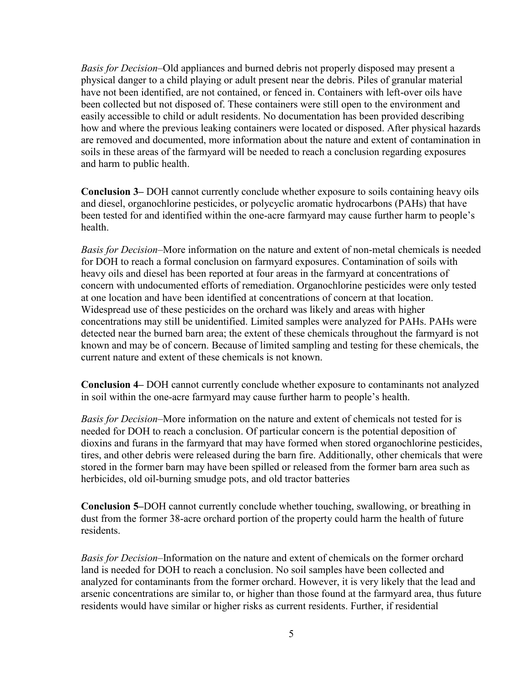*Basis for Decision*–Old appliances and burned debris not properly disposed may present a physical danger to a child playing or adult present near the debris. Piles of granular material have not been identified, are not contained, or fenced in. Containers with left-over oils have been collected but not disposed of. These containers were still open to the environment and easily accessible to child or adult residents. No documentation has been provided describing how and where the previous leaking containers were located or disposed. After physical hazards are removed and documented, more information about the nature and extent of contamination in soils in these areas of the farmyard will be needed to reach a conclusion regarding exposures and harm to public health.

**Conclusion 3–** DOH cannot currently conclude whether exposure to soils containing heavy oils and diesel, organochlorine pesticides, or polycyclic aromatic hydrocarbons (PAHs) that have been tested for and identified within the one-acre farmyard may cause further harm to people's health.

*Basis for Decision*–More information on the nature and extent of non-metal chemicals is needed for DOH to reach a formal conclusion on farmyard exposures. Contamination of soils with heavy oils and diesel has been reported at four areas in the farmyard at concentrations of concern with undocumented efforts of remediation. Organochlorine pesticides were only tested at one location and have been identified at concentrations of concern at that location. Widespread use of these pesticides on the orchard was likely and areas with higher concentrations may still be unidentified. Limited samples were analyzed for PAHs. PAHs were detected near the burned barn area; the extent of these chemicals throughout the farmyard is not known and may be of concern. Because of limited sampling and testing for these chemicals, the current nature and extent of these chemicals is not known.

**Conclusion 4–** DOH cannot currently conclude whether exposure to contaminants not analyzed in soil within the one-acre farmyard may cause further harm to people's health.

*Basis for Decision*–More information on the nature and extent of chemicals not tested for is needed for DOH to reach a conclusion. Of particular concern is the potential deposition of dioxins and furans in the farmyard that may have formed when stored organochlorine pesticides, tires, and other debris were released during the barn fire. Additionally, other chemicals that were stored in the former barn may have been spilled or released from the former barn area such as herbicides, old oil-burning smudge pots, and old tractor batteries

**Conclusion 5–**DOH cannot currently conclude whether touching, swallowing, or breathing in dust from the former 38-acre orchard portion of the property could harm the health of future residents.

*Basis for Decision*–Information on the nature and extent of chemicals on the former orchard land is needed for DOH to reach a conclusion. No soil samples have been collected and analyzed for contaminants from the former orchard. However, it is very likely that the lead and arsenic concentrations are similar to, or higher than those found at the farmyard area, thus future residents would have similar or higher risks as current residents. Further, if residential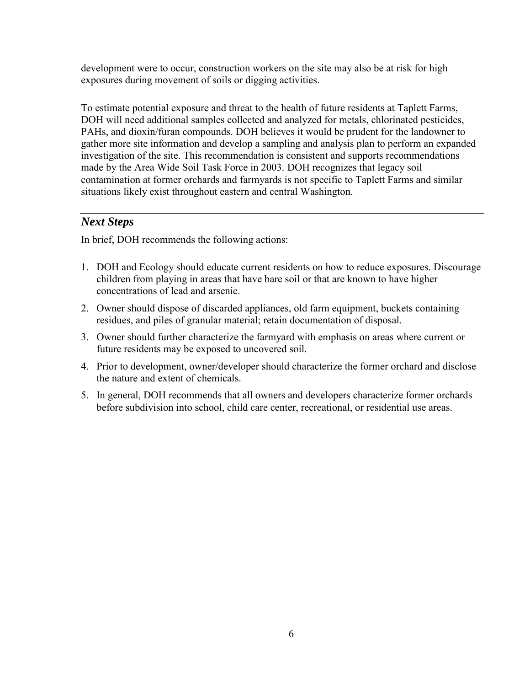development were to occur, construction workers on the site may also be at risk for high exposures during movement of soils or digging activities.

To estimate potential exposure and threat to the health of future residents at Taplett Farms, DOH will need additional samples collected and analyzed for metals, chlorinated pesticides, PAHs, and dioxin/furan compounds. DOH believes it would be prudent for the landowner to gather more site information and develop a sampling and analysis plan to perform an expanded investigation of the site. This recommendation is consistent and supports recommendations made by the Area Wide Soil Task Force in 2003. DOH recognizes that legacy soil contamination at former orchards and farmyards is not specific to Taplett Farms and similar situations likely exist throughout eastern and central Washington.

### *Next Steps*

In brief, DOH recommends the following actions:

- 1. DOH and Ecology should educate current residents on how to reduce exposures. Discourage children from playing in areas that have bare soil or that are known to have higher concentrations of lead and arsenic.
- 2. Owner should dispose of discarded appliances, old farm equipment, buckets containing residues, and piles of granular material; retain documentation of disposal.
- 3. Owner should further characterize the farmyard with emphasis on areas where current or future residents may be exposed to uncovered soil.
- 4. Prior to development, owner/developer should characterize the former orchard and disclose the nature and extent of chemicals.
- 5. In general, DOH recommends that all owners and developers characterize former orchards before subdivision into school, child care center, recreational, or residential use areas.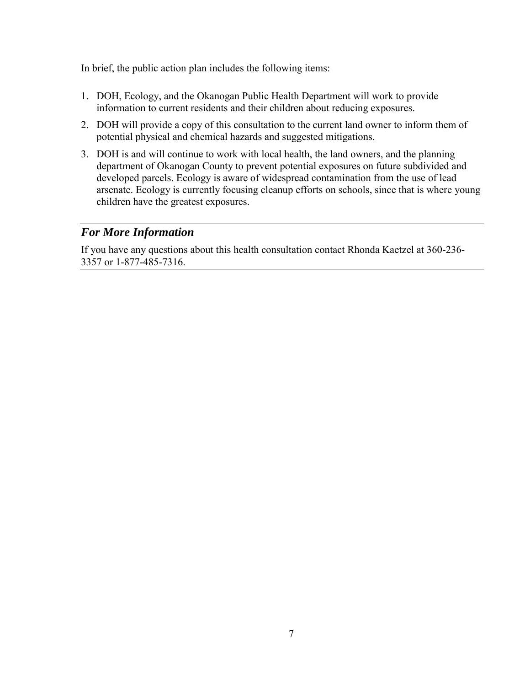In brief, the public action plan includes the following items:

- 1. DOH, Ecology, and the Okanogan Public Health Department will work to provide information to current residents and their children about reducing exposures.
- 2. DOH will provide a copy of this consultation to the current land owner to inform them of potential physical and chemical hazards and suggested mitigations.
- 3. DOH is and will continue to work with local health, the land owners, and the planning department of Okanogan County to prevent potential exposures on future subdivided and developed parcels. Ecology is aware of widespread contamination from the use of lead arsenate. Ecology is currently focusing cleanup efforts on schools, since that is where young children have the greatest exposures.

### *For More Information*

<span id="page-7-0"></span>If you have any questions about this health consultation contact Rhonda Kaetzel at 360-236- 3357 or 1-877-485-7316.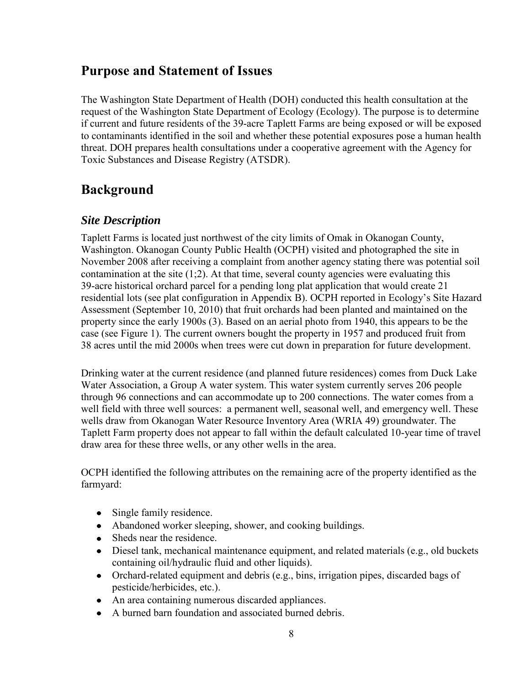## **Purpose and Statement of Issues**

The Washington State Department of Health (DOH) conducted this health consultation at the request of the Washington State Department of Ecology (Ecology). The purpose is to determine if current and future residents of the 39-acre Taplett Farms are being exposed or will be exposed to contaminants identified in the soil and whether these potential exposures pose a human health threat. DOH prepares health consultations under a cooperative agreement with the Agency for Toxic Substances and Disease Registry (ATSDR).

## <span id="page-8-0"></span>**Background**

### <span id="page-8-1"></span>*Site Description*

Taplett Farms is located just northwest of the city limits of Omak in Okanogan County, Washington. Okanogan County Public Health (OCPH) visited and photographed the site in November 2008 after receiving a complaint from another agency stating there was potential soil contamination at the site  $(1,2)$ . At that time, several county agencies were evaluating this 39-acre historical orchard parcel for a pending long plat application that would create 21 residential lots (see plat configuration in Appendix B). OCPH reported in Ecology's Site Hazard Assessment (September 10, 2010) that fruit orchards had been planted and maintained on the property since the early 1900s (3). Based on an aerial photo from 1940, this appears to be the case (see Figure 1). The current owners bought the property in 1957 and produced fruit from 38 acres until the mid 2000s when trees were cut down in preparation for future development.

Drinking water at the current residence (and planned future residences) comes from Duck Lake Water Association, a Group A water system. This water system currently serves 206 people through 96 connections and can accommodate up to 200 connections. The water comes from a well field with three well sources: a permanent well, seasonal well, and emergency well. These wells draw from Okanogan Water Resource Inventory Area (WRIA 49) groundwater. The Taplett Farm property does not appear to fall within the default calculated 10-year time of travel draw area for these three wells, or any other wells in the area.

OCPH identified the following attributes on the remaining acre of the property identified as the farmyard:

- Single family residence.  $\bullet$
- Abandoned worker sleeping, shower, and cooking buildings.
- Sheds near the residence.  $\bullet$
- Diesel tank, mechanical maintenance equipment, and related materials (e.g., old buckets  $\bullet$ containing oil/hydraulic fluid and other liquids).
- $\bullet$ Orchard-related equipment and debris (e.g., bins, irrigation pipes, discarded bags of pesticide/herbicides, etc.).
- An area containing numerous discarded appliances.
- A burned barn foundation and associated burned debris.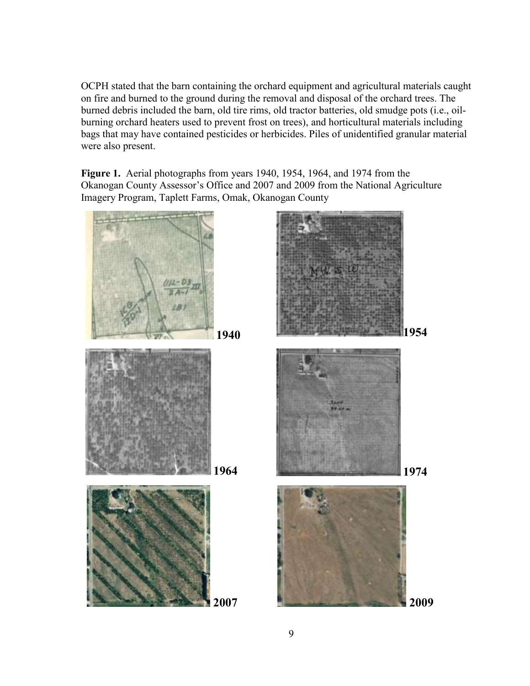OCPH stated that the barn containing the orchard equipment and agricultural materials caught on fire and burned to the ground during the removal and disposal of the orchard trees. The burned debris included the barn, old tire rims, old tractor batteries, old smudge pots (i.e., oilburning orchard heaters used to prevent frost on trees), and horticultural materials including bags that may have contained pesticides or herbicides. Piles of unidentified granular material were also present.

**Figure 1.** Aerial photographs from years 1940, 1954, 1964, and 1974 from the Okanogan County Assessor's Office and 2007 and 2009 from the National Agriculture Imagery Program, Taplett Farms, Omak, Okanogan County

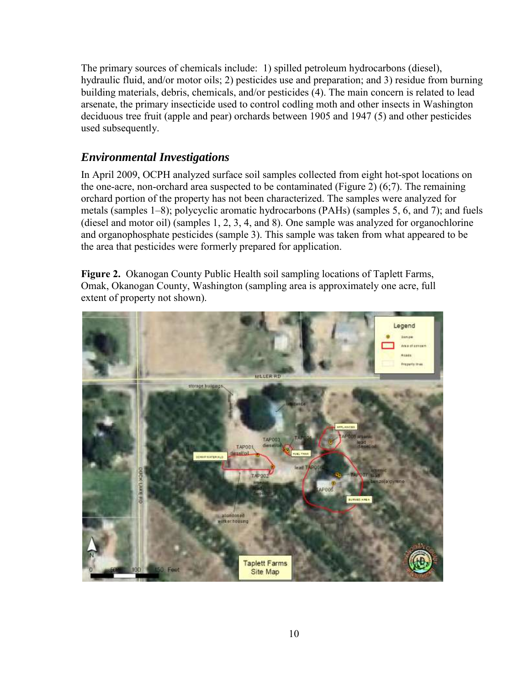The primary sources of chemicals include: 1) spilled petroleum hydrocarbons (diesel), hydraulic fluid, and/or motor oils; 2) pesticides use and preparation; and 3) residue from burning building materials, debris, chemicals, and/or pesticides (4). The main concern is related to lead arsenate, the primary insecticide used to control codling moth and other insects in Washington deciduous tree fruit (apple and pear) orchards between 1905 and 1947 (5) and other pesticides used subsequently.

### <span id="page-10-0"></span>*Environmental Investigations*

In April 2009, OCPH analyzed surface soil samples collected from eight hot-spot locations on the one-acre, non-orchard area suspected to be contaminated (Figure 2)  $(6,7)$ . The remaining orchard portion of the property has not been characterized. The samples were analyzed for metals (samples 1–8); polycyclic aromatic hydrocarbons (PAHs) (samples 5, 6, and 7); and fuels (diesel and motor oil) (samples 1, 2, 3, 4, and 8). One sample was analyzed for organochlorine and organophosphate pesticides (sample 3). This sample was taken from what appeared to be the area that pesticides were formerly prepared for application.

**Figure 2.** Okanogan County Public Health soil sampling locations of Taplett Farms, Omak, Okanogan County, Washington (sampling area is approximately one acre, full extent of property not shown).

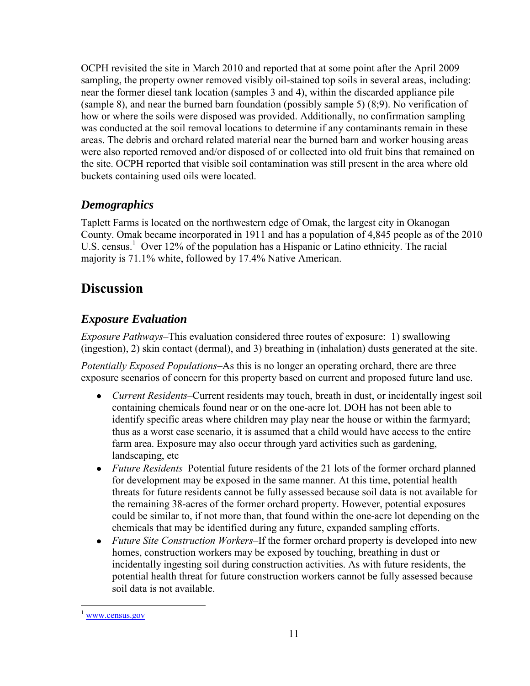OCPH revisited the site in March 2010 and reported that at some point after the April 2009 sampling, the property owner removed visibly oil-stained top soils in several areas, including: near the former diesel tank location (samples 3 and 4), within the discarded appliance pile (sample 8), and near the burned barn foundation (possibly sample 5) (8;9). No verification of how or where the soils were disposed was provided. Additionally, no confirmation sampling was conducted at the soil removal locations to determine if any contaminants remain in these areas. The debris and orchard related material near the burned barn and worker housing areas were also reported removed and/or disposed of or collected into old fruit bins that remained on the site. OCPH reported that visible soil contamination was still present in the area where old buckets containing used oils were located.

### <span id="page-11-0"></span>*Demographics*

Taplett Farms is located on the northwestern edge of Omak, the largest city in Okanogan County. Omak became incorporated in 1911 and has a population of 4,845 people as of the 2010 U.S. census.<sup>1</sup> Over 12% of the population has a Hispanic or Latino ethnicity. The racial majority is 71.1% white, followed by 17.4% Native American.

## <span id="page-11-1"></span>**Discussion**

## <span id="page-11-2"></span>*Exposure Evaluation*

*Exposure Pathways*–This evaluation considered three routes of exposure: 1) swallowing (ingestion), 2) skin contact (dermal), and 3) breathing in (inhalation) dusts generated at the site.

*Potentially Exposed Populations*–As this is no longer an operating orchard, there are three exposure scenarios of concern for this property based on current and proposed future land use.

- *Current Residents–*Current residents may touch, breath in dust, or incidentally ingest soil containing chemicals found near or on the one-acre lot. DOH has not been able to identify specific areas where children may play near the house or within the farmyard; thus as a worst case scenario, it is assumed that a child would have access to the entire farm area. Exposure may also occur through yard activities such as gardening, landscaping, etc
- *Future Residents–*Potential future residents of the 21 lots of the former orchard planned  $\bullet$ for development may be exposed in the same manner. At this time, potential health threats for future residents cannot be fully assessed because soil data is not available for the remaining 38-acres of the former orchard property. However, potential exposures could be similar to, if not more than, that found within the one-acre lot depending on the chemicals that may be identified during any future, expanded sampling efforts.
- *Future Site Construction Workers–*If the former orchard property is developed into new  $\bullet$ homes, construction workers may be exposed by touching, breathing in dust or incidentally ingesting soil during construction activities. As with future residents, the potential health threat for future construction workers cannot be fully assessed because soil data is not available.

 $\overline{a}$  $1$  www.census.gov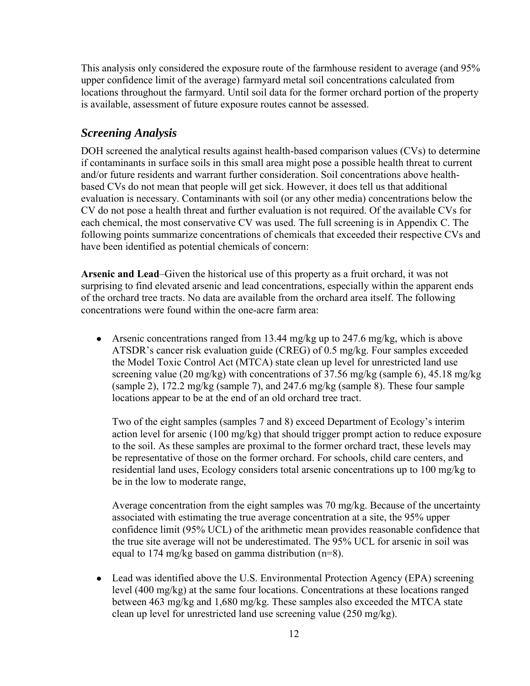This analysis only considered the exposure route of the farmhouse resident to average (and 95% upper confidence limit of the average) farmyard metal soil concentrations calculated from locations throughout the farmyard. Until soil data for the former orchard portion of the property is available, assessment of future exposure routes cannot be assessed.

### <span id="page-12-0"></span>*Screening Analysis*

DOH screened the analytical results against health-based comparison values (CVs) to determine if contaminants in surface soils in this small area might pose a possible health threat to current and/or future residents and warrant further consideration. Soil concentrations above healthbased CVs do not mean that people will get sick. However, it does tell us that additional evaluation is necessary. Contaminants with soil (or any other media) concentrations below the CV do not pose a health threat and further evaluation is not required. Of the available CVs for each chemical, the most conservative CV was used. The full screening is in Appendix C. The following points summarize concentrations of chemicals that exceeded their respective CVs and have been identified as potential chemicals of concern:

**Arsenic and Lead**–Given the historical use of this property as a fruit orchard, it was not surprising to find elevated arsenic and lead concentrations, especially within the apparent ends of the orchard tree tracts. No data are available from the orchard area itself. The following concentrations were found within the one-acre farm area:

Arsenic concentrations ranged from 13.44 mg/kg up to 247.6 mg/kg, which is above ATSDR's cancer risk evaluation guide (CREG) of 0.5 mg/kg. Four samples exceeded the Model Toxic Control Act (MTCA) state clean up level for unrestricted land use screening value (20 mg/kg) with concentrations of 37.56 mg/kg (sample 6), 45.18 mg/kg (sample 2), 172.2 mg/kg (sample 7), and 247.6 mg/kg (sample 8). These four sample locations appear to be at the end of an old orchard tree tract.

Two of the eight samples (samples 7 and 8) exceed Department of Ecology's interim action level for arsenic (100 mg/kg) that should trigger prompt action to reduce exposure to the soil. As these samples are proximal to the former orchard tract, these levels may be representative of those on the former orchard. For schools, child care centers, and residential land uses, Ecology considers total arsenic concentrations up to 100 mg/kg to be in the low to moderate range,

Average concentration from the eight samples was 70 mg/kg. Because of the uncertainty associated with estimating the true average concentration at a site, the 95% upper confidence limit (95% UCL) of the arithmetic mean provides reasonable confidence that the true site average will not be underestimated. The 95% UCL for arsenic in soil was equal to 174 mg/kg based on gamma distribution (n=8).

Lead was identified above the U.S. Environmental Protection Agency (EPA) screening level (400 mg/kg) at the same four locations. Concentrations at these locations ranged between 463 mg/kg and 1,680 mg/kg. These samples also exceeded the MTCA state clean up level for unrestricted land use screening value (250 mg/kg).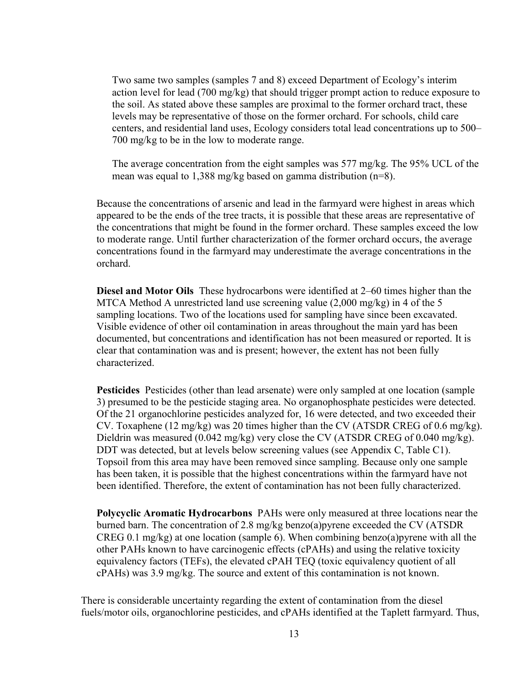Two same two samples (samples 7 and 8) exceed Department of Ecology's interim action level for lead (700 mg/kg) that should trigger prompt action to reduce exposure to the soil. As stated above these samples are proximal to the former orchard tract, these levels may be representative of those on the former orchard. For schools, child care centers, and residential land uses, Ecology considers total lead concentrations up to 500– 700 mg/kg to be in the low to moderate range.

The average concentration from the eight samples was 577 mg/kg. The 95% UCL of the mean was equal to 1,388 mg/kg based on gamma distribution (n=8).

Because the concentrations of arsenic and lead in the farmyard were highest in areas which appeared to be the ends of the tree tracts, it is possible that these areas are representative of the concentrations that might be found in the former orchard. These samples exceed the low to moderate range. Until further characterization of the former orchard occurs, the average concentrations found in the farmyard may underestimate the average concentrations in the orchard.

**Diesel and Motor Oils** These hydrocarbons were identified at 2–60 times higher than the MTCA Method A unrestricted land use screening value (2,000 mg/kg) in 4 of the 5 sampling locations. Two of the locations used for sampling have since been excavated. Visible evidence of other oil contamination in areas throughout the main yard has been documented, but concentrations and identification has not been measured or reported. It is clear that contamination was and is present; however, the extent has not been fully characterized.

**Pesticides** Pesticides (other than lead arsenate) were only sampled at one location (sample 3) presumed to be the pesticide staging area. No organophosphate pesticides were detected. Of the 21 organochlorine pesticides analyzed for, 16 were detected, and two exceeded their CV. Toxaphene (12 mg/kg) was 20 times higher than the CV (ATSDR CREG of 0.6 mg/kg). Dieldrin was measured (0.042 mg/kg) very close the CV (ATSDR CREG of 0.040 mg/kg). DDT was detected, but at levels below screening values (see Appendix C, Table C1). Topsoil from this area may have been removed since sampling. Because only one sample has been taken, it is possible that the highest concentrations within the farmyard have not been identified. Therefore, the extent of contamination has not been fully characterized.

**Polycyclic Aromatic Hydrocarbons** PAHs were only measured at three locations near the burned barn. The concentration of 2.8 mg/kg benzo(a)pyrene exceeded the CV (ATSDR CREG 0.1 mg/kg) at one location (sample 6). When combining benzo(a)pyrene with all the other PAHs known to have carcinogenic effects (cPAHs) and using the relative toxicity equivalency factors (TEFs), the elevated cPAH TEQ (toxic equivalency quotient of all cPAHs) was 3.9 mg/kg. The source and extent of this contamination is not known.

There is considerable uncertainty regarding the extent of contamination from the diesel fuels/motor oils, organochlorine pesticides, and cPAHs identified at the Taplett farmyard. Thus,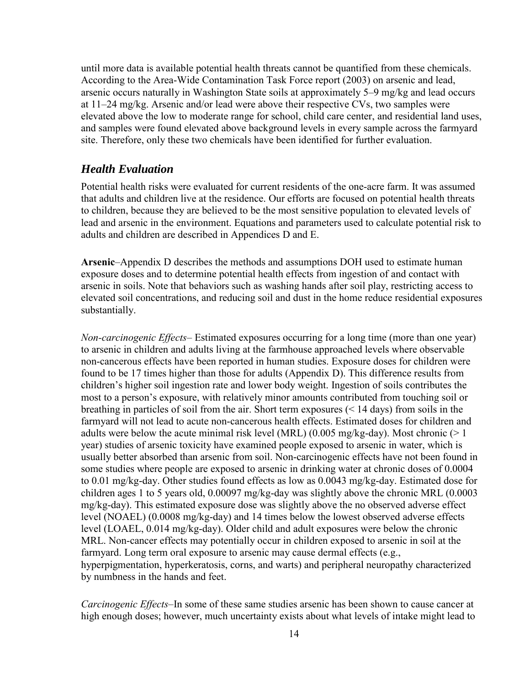until more data is available potential health threats cannot be quantified from these chemicals. According to the Area-Wide Contamination Task Force report (2003) on arsenic and lead, arsenic occurs naturally in Washington State soils at approximately 5–9 mg/kg and lead occurs at 11–24 mg/kg. Arsenic and/or lead were above their respective CVs, two samples were elevated above the low to moderate range for school, child care center, and residential land uses, and samples were found elevated above background levels in every sample across the farmyard site. Therefore, only these two chemicals have been identified for further evaluation.

### <span id="page-14-0"></span>*Health Evaluation*

Potential health risks were evaluated for current residents of the one-acre farm. It was assumed that adults and children live at the residence. Our efforts are focused on potential health threats to children, because they are believed to be the most sensitive population to elevated levels of lead and arsenic in the environment. Equations and parameters used to calculate potential risk to adults and children are described in Appendices D and E.

**Arsenic**–Appendix D describes the methods and assumptions DOH used to estimate human exposure doses and to determine potential health effects from ingestion of and contact with arsenic in soils. Note that behaviors such as washing hands after soil play, restricting access to elevated soil concentrations, and reducing soil and dust in the home reduce residential exposures substantially.

*Non-carcinogenic Effects*– Estimated exposures occurring for a long time (more than one year) to arsenic in children and adults living at the farmhouse approached levels where observable non-cancerous effects have been reported in human studies. Exposure doses for children were found to be 17 times higher than those for adults (Appendix D). This difference results from children's higher soil ingestion rate and lower body weight. Ingestion of soils contributes the most to a person's exposure, with relatively minor amounts contributed from touching soil or breathing in particles of soil from the air. Short term exposures (< 14 days) from soils in the farmyard will not lead to acute non-cancerous health effects. Estimated doses for children and adults were below the acute minimal risk level (MRL) (0.005 mg/kg-day). Most chronic ( $> 1$ year) studies of arsenic toxicity have examined people exposed to arsenic in water, which is usually better absorbed than arsenic from soil. Non-carcinogenic effects have not been found in some studies where people are exposed to arsenic in drinking water at chronic doses of 0.0004 to 0.01 mg/kg-day. Other studies found effects as low as 0.0043 mg/kg-day. Estimated dose for children ages 1 to 5 years old, 0.00097 mg/kg-day was slightly above the chronic MRL (0.0003 mg/kg-day). This estimated exposure dose was slightly above the no observed adverse effect level (NOAEL) (0.0008 mg/kg-day) and 14 times below the lowest observed adverse effects level (LOAEL, 0.014 mg/kg-day). Older child and adult exposures were below the chronic MRL. Non-cancer effects may potentially occur in children exposed to arsenic in soil at the farmyard. Long term oral exposure to arsenic may cause dermal effects (e.g., hyperpigmentation, hyperkeratosis, corns, and warts) and peripheral neuropathy characterized by numbness in the hands and feet.

*Carcinogenic Effects*–In some of these same studies arsenic has been shown to cause cancer at high enough doses; however, much uncertainty exists about what levels of intake might lead to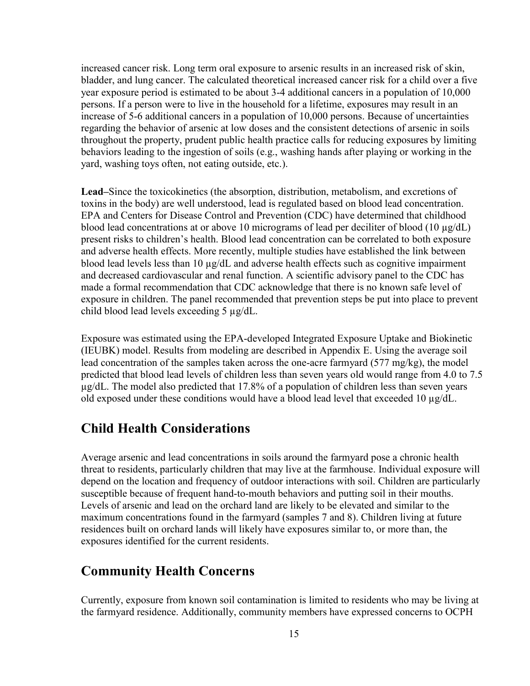increased cancer risk. Long term oral exposure to arsenic results in an increased risk of skin, bladder, and lung cancer. The calculated theoretical increased cancer risk for a child over a five year exposure period is estimated to be about 3-4 additional cancers in a population of 10,000 persons. If a person were to live in the household for a lifetime, exposures may result in an increase of 5-6 additional cancers in a population of 10,000 persons. Because of uncertainties regarding the behavior of arsenic at low doses and the consistent detections of arsenic in soils throughout the property, prudent public health practice calls for reducing exposures by limiting behaviors leading to the ingestion of soils (e.g., washing hands after playing or working in the yard, washing toys often, not eating outside, etc.).

**Lead–**Since the toxicokinetics (the absorption, distribution, metabolism, and excretions of toxins in the body) are well understood, lead is regulated based on blood lead concentration. EPA and Centers for Disease Control and Prevention (CDC) have determined that childhood blood lead concentrations at or above 10 micrograms of lead per deciliter of blood (10  $\mu$ g/dL) present risks to children's health. Blood lead concentration can be correlated to both exposure and adverse health effects. More recently, multiple studies have established the link between blood lead levels less than 10  $\mu$ g/dL and adverse health effects such as cognitive impairment and decreased cardiovascular and renal function. A scientific advisory panel to the CDC has made a formal recommendation that CDC acknowledge that there is no known safe level of exposure in children. The panel recommended that prevention steps be put into place to prevent child blood lead levels exceeding 5 µg/dL.

Exposure was estimated using the EPA-developed Integrated Exposure Uptake and Biokinetic (IEUBK) model. Results from modeling are described in Appendix E. Using the average soil lead concentration of the samples taken across the one-acre farmyard (577 mg/kg), the model predicted that blood lead levels of children less than seven years old would range from 4.0 to 7.5 µg/dL. The model also predicted that 17.8% of a population of children less than seven years old exposed under these conditions would have a blood lead level that exceeded 10 µg/dL.

## <span id="page-15-0"></span>**Child Health Considerations**

Average arsenic and lead concentrations in soils around the farmyard pose a chronic health threat to residents, particularly children that may live at the farmhouse. Individual exposure will depend on the location and frequency of outdoor interactions with soil. Children are particularly susceptible because of frequent hand-to-mouth behaviors and putting soil in their mouths. Levels of arsenic and lead on the orchard land are likely to be elevated and similar to the maximum concentrations found in the farmyard (samples 7 and 8). Children living at future residences built on orchard lands will likely have exposures similar to, or more than, the exposures identified for the current residents.

## <span id="page-15-1"></span>**Community Health Concerns**

Currently, exposure from known soil contamination is limited to residents who may be living at the farmyard residence. Additionally, community members have expressed concerns to OCPH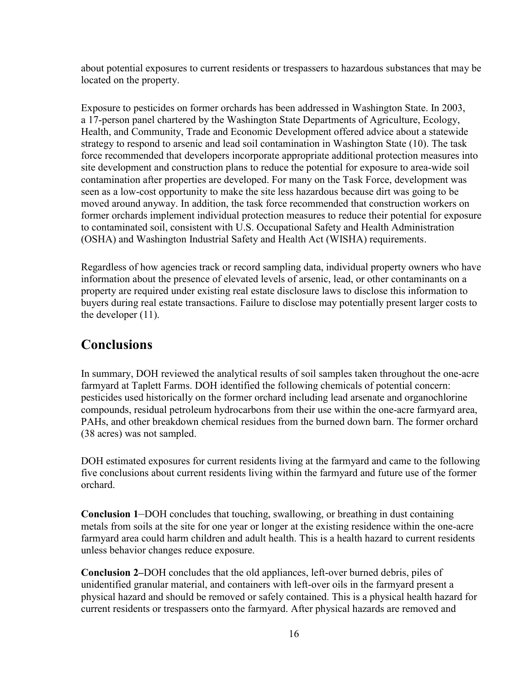about potential exposures to current residents or trespassers to hazardous substances that may be located on the property.

Exposure to pesticides on former orchards has been addressed in Washington State. In 2003, a 17-person panel chartered by the Washington State Departments of Agriculture, Ecology, Health, and Community, Trade and Economic Development offered advice about a statewide strategy to respond to arsenic and lead soil contamination in Washington State (10). The task force recommended that developers incorporate appropriate additional protection measures into site development and construction plans to reduce the potential for exposure to area-wide soil contamination after properties are developed. For many on the Task Force, development was seen as a low-cost opportunity to make the site less hazardous because dirt was going to be moved around anyway. In addition, the task force recommended that construction workers on former orchards implement individual protection measures to reduce their potential for exposure to contaminated soil, consistent with U.S. Occupational Safety and Health Administration (OSHA) and Washington Industrial Safety and Health Act (WISHA) requirements.

Regardless of how agencies track or record sampling data, individual property owners who have information about the presence of elevated levels of arsenic, lead, or other contaminants on a property are required under existing real estate disclosure laws to disclose this information to buyers during real estate transactions. Failure to disclose may potentially present larger costs to the developer (11).

## <span id="page-16-0"></span>**Conclusions**

In summary, DOH reviewed the analytical results of soil samples taken throughout the one-acre farmyard at Taplett Farms. DOH identified the following chemicals of potential concern: pesticides used historically on the former orchard including lead arsenate and organochlorine compounds, residual petroleum hydrocarbons from their use within the one-acre farmyard area, PAHs, and other breakdown chemical residues from the burned down barn. The former orchard (38 acres) was not sampled.

DOH estimated exposures for current residents living at the farmyard and came to the following five conclusions about current residents living within the farmyard and future use of the former orchard.

**Conclusion 1***–*DOH concludes that touching, swallowing, or breathing in dust containing metals from soils at the site for one year or longer at the existing residence within the one-acre farmyard area could harm children and adult health. This is a health hazard to current residents unless behavior changes reduce exposure.

**Conclusion 2–**DOH concludes that the old appliances, left-over burned debris, piles of unidentified granular material, and containers with left-over oils in the farmyard present a physical hazard and should be removed or safely contained. This is a physical health hazard for current residents or trespassers onto the farmyard. After physical hazards are removed and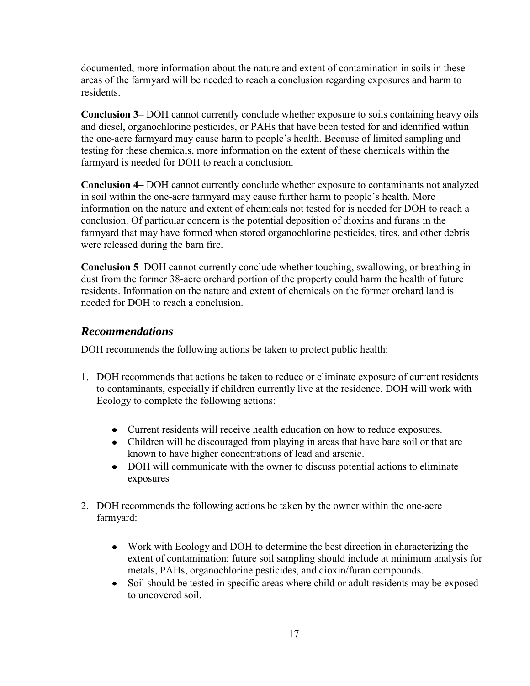documented, more information about the nature and extent of contamination in soils in these areas of the farmyard will be needed to reach a conclusion regarding exposures and harm to residents.

**Conclusion 3–** DOH cannot currently conclude whether exposure to soils containing heavy oils and diesel, organochlorine pesticides, or PAHs that have been tested for and identified within the one-acre farmyard may cause harm to people's health. Because of limited sampling and testing for these chemicals, more information on the extent of these chemicals within the farmyard is needed for DOH to reach a conclusion.

**Conclusion 4–** DOH cannot currently conclude whether exposure to contaminants not analyzed in soil within the one-acre farmyard may cause further harm to people's health. More information on the nature and extent of chemicals not tested for is needed for DOH to reach a conclusion. Of particular concern is the potential deposition of dioxins and furans in the farmyard that may have formed when stored organochlorine pesticides, tires, and other debris were released during the barn fire.

**Conclusion 5–**DOH cannot currently conclude whether touching, swallowing, or breathing in dust from the former 38-acre orchard portion of the property could harm the health of future residents. Information on the nature and extent of chemicals on the former orchard land is needed for DOH to reach a conclusion.

### <span id="page-17-0"></span>*Recommendations*

DOH recommends the following actions be taken to protect public health:

- 1. DOH recommends that actions be taken to reduce or eliminate exposure of current residents to contaminants, especially if children currently live at the residence. DOH will work with Ecology to complete the following actions:
	- Current residents will receive health education on how to reduce exposures.
	- Children will be discouraged from playing in areas that have bare soil or that are known to have higher concentrations of lead and arsenic.
	- DOH will communicate with the owner to discuss potential actions to eliminate exposures
- 2. DOH recommends the following actions be taken by the owner within the one-acre farmyard:
	- Work with Ecology and DOH to determine the best direction in characterizing the extent of contamination; future soil sampling should include at minimum analysis for metals, PAHs, organochlorine pesticides, and dioxin/furan compounds.
	- Soil should be tested in specific areas where child or adult residents may be exposed to uncovered soil.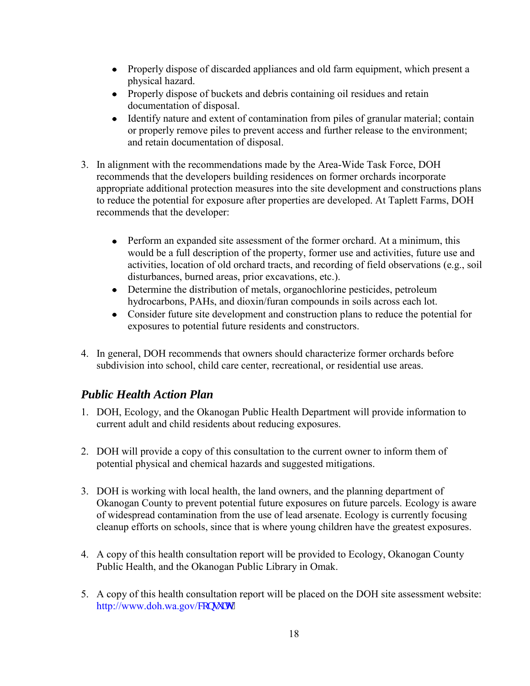- Properly dispose of discarded appliances and old farm equipment, which present a physical hazard.
- Properly dispose of buckets and debris containing oil residues and retain documentation of disposal.
- Identify nature and extent of contamination from piles of granular material; contain or properly remove piles to prevent access and further release to the environment; and retain documentation of disposal.
- 3. In alignment with the recommendations made by the Area-Wide Task Force, DOH recommends that the developers building residences on former orchards incorporate appropriate additional protection measures into the site development and constructions plans to reduce the potential for exposure after properties are developed. At Taplett Farms, DOH recommends that the developer:
	- Perform an expanded site assessment of the former orchard. At a minimum, this would be a full description of the property, former use and activities, future use and activities, location of old orchard tracts, and recording of field observations (e.g., soil disturbances, burned areas, prior excavations, etc.).
	- Determine the distribution of metals, organochlorine pesticides, petroleum hydrocarbons, PAHs, and dioxin/furan compounds in soils across each lot.
	- Consider future site development and construction plans to reduce the potential for exposures to potential future residents and constructors.
- 4. In general, DOH recommends that owners should characterize former orchards before subdivision into school, child care center, recreational, or residential use areas.

## <span id="page-18-0"></span>*Public Health Action Plan*

- 1. DOH, Ecology, and the Okanogan Public Health Department will provide information to current adult and child residents about reducing exposures.
- 2. DOH will provide a copy of this consultation to the current owner to inform them of potential physical and chemical hazards and suggested mitigations.
- 3. DOH is working with local health, the land owners, and the planning department of Okanogan County to prevent potential future exposures on future parcels. Ecology is aware of widespread contamination from the use of lead arsenate. Ecology is currently focusing cleanup efforts on schools, since that is where young children have the greatest exposures.
- 4. A copy of this health consultation report will be provided to Ecology, Okanogan County Public Health, and the Okanogan Public Library in Omak.
- 5. A copy of this health consultation report will be placed on the DOH site assessment website: [http://www.doh.wa.gov/](http://www.doh.wa.gov/consults)eqpuww0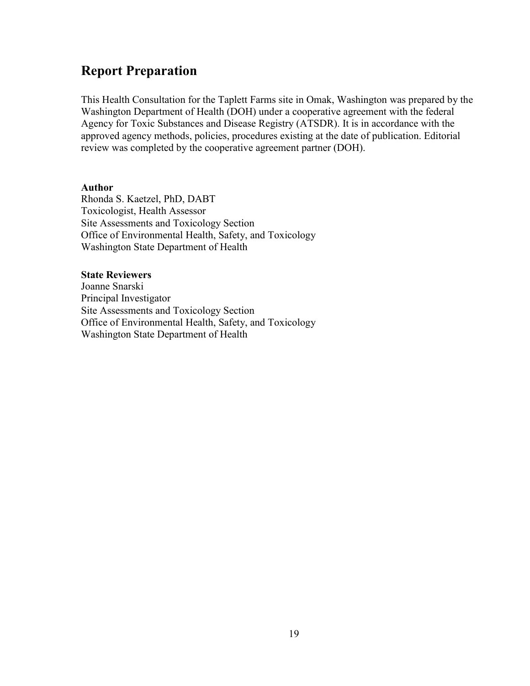## **Report Preparation**

This Health Consultation for the Taplett Farms site in Omak, Washington was prepared by the Washington Department of Health (DOH) under a cooperative agreement with the federal Agency for Toxic Substances and Disease Registry (ATSDR). It is in accordance with the approved agency methods, policies, procedures existing at the date of publication. Editorial review was completed by the cooperative agreement partner (DOH).

#### **Author**

Rhonda S. Kaetzel, PhD, DABT Toxicologist, Health Assessor Site Assessments and Toxicology Section Office of Environmental Health, Safety, and Toxicology Washington State Department of Health

#### **State Reviewers**

Joanne Snarski Principal Investigator Site Assessments and Toxicology Section Office of Environmental Health, Safety, and Toxicology Washington State Department of Health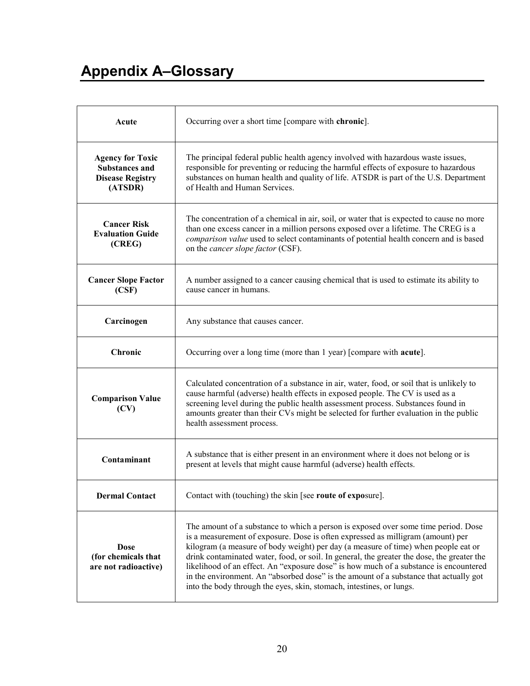# **Appendix A–Glossary**

| Acute                                                                                  | Occurring over a short time [compare with chronic].                                                                                                                                                                                                                                                                                                                                                                                                                                                                                                                                                                 |
|----------------------------------------------------------------------------------------|---------------------------------------------------------------------------------------------------------------------------------------------------------------------------------------------------------------------------------------------------------------------------------------------------------------------------------------------------------------------------------------------------------------------------------------------------------------------------------------------------------------------------------------------------------------------------------------------------------------------|
| <b>Agency for Toxic</b><br><b>Substances and</b><br><b>Disease Registry</b><br>(ATSDR) | The principal federal public health agency involved with hazardous waste issues,<br>responsible for preventing or reducing the harmful effects of exposure to hazardous<br>substances on human health and quality of life. ATSDR is part of the U.S. Department<br>of Health and Human Services.                                                                                                                                                                                                                                                                                                                    |
| <b>Cancer Risk</b><br><b>Evaluation Guide</b><br>(CREG)                                | The concentration of a chemical in air, soil, or water that is expected to cause no more<br>than one excess cancer in a million persons exposed over a lifetime. The CREG is a<br>comparison value used to select contaminants of potential health concern and is based<br>on the <i>cancer slope factor</i> (CSF).                                                                                                                                                                                                                                                                                                 |
| <b>Cancer Slope Factor</b><br>(CSF)                                                    | A number assigned to a cancer causing chemical that is used to estimate its ability to<br>cause cancer in humans                                                                                                                                                                                                                                                                                                                                                                                                                                                                                                    |
| Carcinogen                                                                             | Any substance that causes cancer.                                                                                                                                                                                                                                                                                                                                                                                                                                                                                                                                                                                   |
| <b>Chronic</b>                                                                         | Occurring over a long time (more than 1 year) [compare with <b>acute</b> ].                                                                                                                                                                                                                                                                                                                                                                                                                                                                                                                                         |
| <b>Comparison Value</b><br>(CV)                                                        | Calculated concentration of a substance in air, water, food, or soil that is unlikely to<br>cause harmful (adverse) health effects in exposed people. The CV is used as a<br>screening level during the public health assessment process. Substances found in<br>amounts greater than their CVs might be selected for further evaluation in the public<br>health assessment process.                                                                                                                                                                                                                                |
| Contaminant                                                                            | A substance that is either present in an environment where it does not belong or is<br>present at levels that might cause harmful (adverse) health effects.                                                                                                                                                                                                                                                                                                                                                                                                                                                         |
| <b>Dermal Contact</b>                                                                  | Contact with (touching) the skin [see route of exposure].                                                                                                                                                                                                                                                                                                                                                                                                                                                                                                                                                           |
| <b>Dose</b><br>(for chemicals that<br>are not radioactive)                             | The amount of a substance to which a person is exposed over some time period. Dose<br>is a measurement of exposure. Dose is often expressed as milligram (amount) per<br>kilogram (a measure of body weight) per day (a measure of time) when people eat or<br>drink contaminated water, food, or soil. In general, the greater the dose, the greater the<br>likelihood of an effect. An "exposure dose" is how much of a substance is encountered<br>in the environment. An "absorbed dose" is the amount of a substance that actually got<br>into the body through the eyes, skin, stomach, intestines, or lungs. |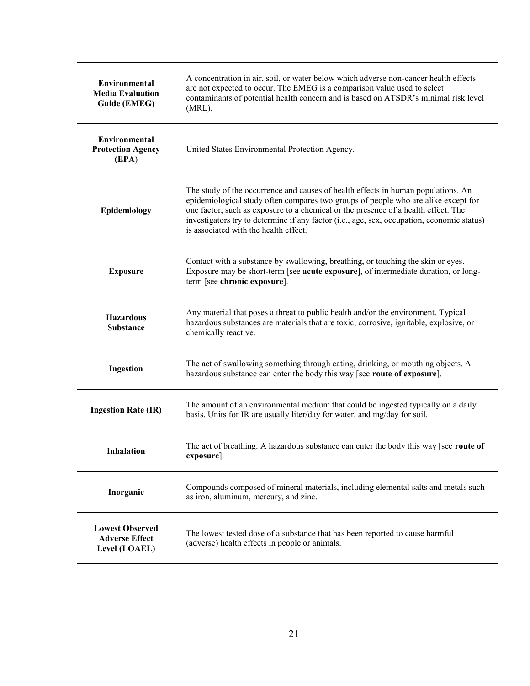| Environmental<br><b>Media Evaluation</b><br><b>Guide (EMEG)</b>  | A concentration in air, soil, or water below which adverse non-cancer health effects<br>are not expected to occur. The EMEG is a comparison value used to select<br>contaminants of potential health concern and is based on ATSDR's minimal risk level<br>$(MRL)$ .                                                                                                                                 |
|------------------------------------------------------------------|------------------------------------------------------------------------------------------------------------------------------------------------------------------------------------------------------------------------------------------------------------------------------------------------------------------------------------------------------------------------------------------------------|
| <b>Environmental</b><br><b>Protection Agency</b><br>(EPA)        | United States Environmental Protection Agency.                                                                                                                                                                                                                                                                                                                                                       |
| Epidemiology                                                     | The study of the occurrence and causes of health effects in human populations. An<br>epidemiological study often compares two groups of people who are alike except for<br>one factor, such as exposure to a chemical or the presence of a health effect. The<br>investigators try to determine if any factor (i.e., age, sex, occupation, economic status)<br>is associated with the health effect. |
| <b>Exposure</b>                                                  | Contact with a substance by swallowing, breathing, or touching the skin or eyes.<br>Exposure may be short-term [see acute exposure], of intermediate duration, or long-<br>term [see chronic exposure].                                                                                                                                                                                              |
| <b>Hazardous</b><br><b>Substance</b>                             | Any material that poses a threat to public health and/or the environment. Typical<br>hazardous substances are materials that are toxic, corrosive, ignitable, explosive, or<br>chemically reactive.                                                                                                                                                                                                  |
| Ingestion                                                        | The act of swallowing something through eating, drinking, or mouthing objects. A<br>hazardous substance can enter the body this way [see route of exposure].                                                                                                                                                                                                                                         |
| <b>Ingestion Rate (IR)</b>                                       | The amount of an environmental medium that could be ingested typically on a daily<br>basis. Units for IR are usually liter/day for water, and mg/day for soil.                                                                                                                                                                                                                                       |
| Inhalation                                                       | The act of breathing. A hazardous substance can enter the body this way [see route of<br>exposure].                                                                                                                                                                                                                                                                                                  |
| Inorganic                                                        | Compounds composed of mineral materials, including elemental salts and metals such<br>as iron, aluminum, mercury, and zinc.                                                                                                                                                                                                                                                                          |
| <b>Lowest Observed</b><br><b>Adverse Effect</b><br>Level (LOAEL) | The lowest tested dose of a substance that has been reported to cause harmful<br>(adverse) health effects in people or animals.                                                                                                                                                                                                                                                                      |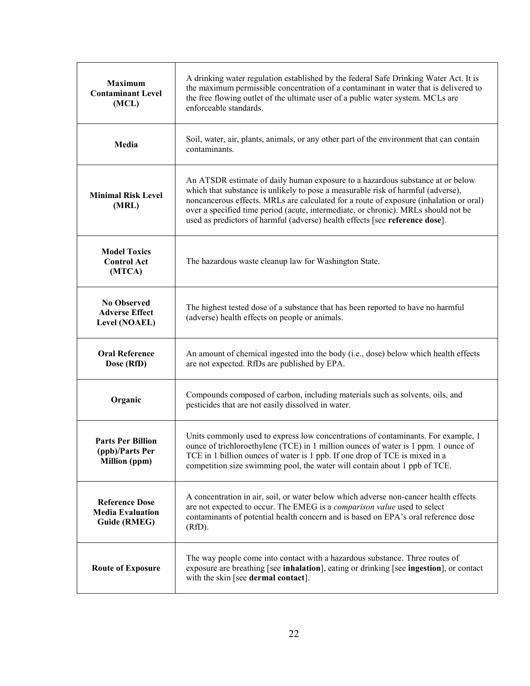| <b>Maximum</b><br><b>Contaminant Level</b><br>(MCL)                     | A drinking water regulation established by the federal Safe Drinking Water Act. It is<br>the maximum permissible concentration of a contaminant in water that is delivered to<br>the free flowing outlet of the ultimate user of a public water system. MCLs are<br>enforceable standards.                                                                                                                                         |
|-------------------------------------------------------------------------|------------------------------------------------------------------------------------------------------------------------------------------------------------------------------------------------------------------------------------------------------------------------------------------------------------------------------------------------------------------------------------------------------------------------------------|
| Media                                                                   | Soil, water, air, plants, animals, or any other part of the environment that can contain<br>contaminants.                                                                                                                                                                                                                                                                                                                          |
| <b>Minimal Risk Level</b><br>(MRL)                                      | An ATSDR estimate of daily human exposure to a hazardous substance at or below<br>which that substance is unlikely to pose a measurable risk of harmful (adverse),<br>noncancerous effects. MRLs are calculated for a route of exposure (inhalation or oral)<br>over a specified time period (acute, intermediate, or chronic). MRLs should not be<br>used as predictors of harmful (adverse) health effects [see reference dose]. |
| <b>Model Toxics</b><br><b>Control Act</b><br>(MTCA)                     | The hazardous waste cleanup law for Washington State.                                                                                                                                                                                                                                                                                                                                                                              |
| <b>No Observed</b><br><b>Adverse Effect</b><br>Level (NOAEL)            | The highest tested dose of a substance that has been reported to have no harmful<br>(adverse) health effects on people or animals.                                                                                                                                                                                                                                                                                                 |
| <b>Oral Reference</b><br>Dose (RfD)                                     | An amount of chemical ingested into the body (i.e., dose) below which health effects<br>are not expected. RfDs are published by EPA.                                                                                                                                                                                                                                                                                               |
| Organic                                                                 | Compounds composed of carbon, including materials such as solvents, oils, and<br>pesticides that are not easily dissolved in water.                                                                                                                                                                                                                                                                                                |
| <b>Parts Per Billion</b><br>(ppb)/Parts Per<br><b>Million</b> (ppm)     | Units commonly used to express low concentrations of contaminants. For example, 1<br>ounce of trichloroethylene (TCE) in 1 million ounces of water is 1 ppm. 1 ounce of<br>TCE in 1 billion ounces of water is 1 ppb. If one drop of TCE is mixed in a<br>competition size swimming pool, the water will contain about 1 ppb of TCE.                                                                                               |
| <b>Reference Dose</b><br><b>Media Evaluation</b><br><b>Guide (RMEG)</b> | A concentration in air, soil, or water below which adverse non-cancer health effects<br>are not expected to occur. The EMEG is a comparison value used to select<br>contaminants of potential health concern and is based on EPA's oral reference dose<br>(RfD).                                                                                                                                                                   |
| <b>Route of Exposure</b>                                                | The way people come into contact with a hazardous substance. Three routes of<br>exposure are breathing [see inhalation], eating or drinking [see ingestion], or contact<br>with the skin [see <b>dermal contact</b> ].                                                                                                                                                                                                             |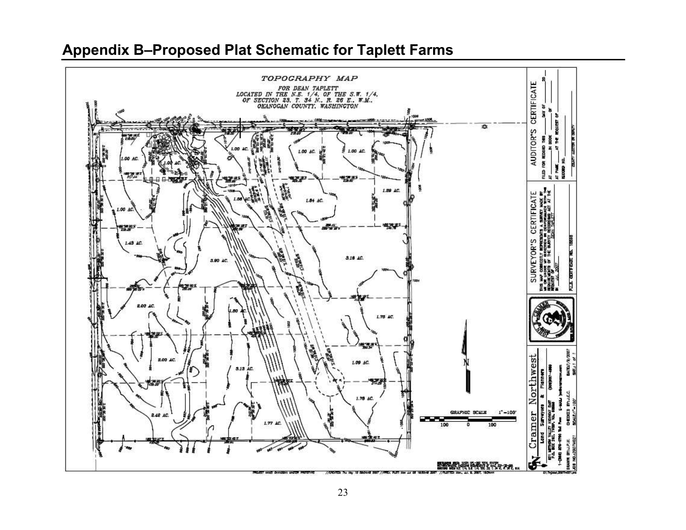# **Appendix B–Proposed Plat Schematic for Taplett Farms**

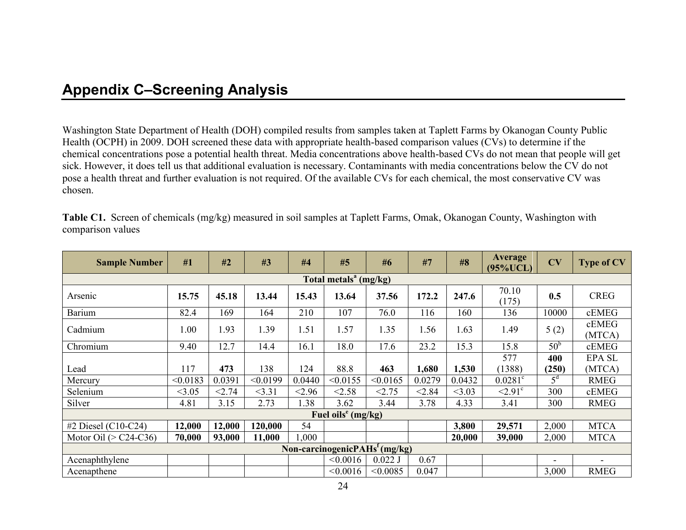## **Appendix C–Screening Analysis**

Washington State Department of Health (DOH) compiled results from samples taken at Taplett Farms by Okanogan County Public Health (OCPH) in 2009. DOH screened these data with appropriate health-based comparison values (CVs) to determine if the chemical concentrations pose a potential health threat. Media concentrations above health-based CVs do not mean that people will get sick. However, it does tell us that additional evaluation is necessary. Contaminants with media concentrations below the CV do not pose a health threat and further evaluation is not required. Of the available CVs for each chemical, the most conservative CV was chosen.

| <b>Sample Number</b>     | #1       | #2     | #3       | #4     | #5                                | #6                               | #7     | #8       | <b>Average</b><br>$(95\% UCL)$ | CV              | <b>Type of CV</b> |
|--------------------------|----------|--------|----------|--------|-----------------------------------|----------------------------------|--------|----------|--------------------------------|-----------------|-------------------|
|                          |          |        |          |        | Total metals <sup>a</sup> (mg/kg) |                                  |        |          |                                |                 |                   |
| Arsenic                  | 15.75    | 45.18  | 13.44    | 15.43  | 13.64                             | 37.56                            | 172.2  | 247.6    | 70.10<br>(175)                 | 0.5             | <b>CREG</b>       |
| Barium                   | 82.4     | 169    | 164      | 210    | 107                               | 76.0                             | 116    | 160      | 136                            | 10000           | cEMEG             |
| Cadmium                  | 1.00     | 1.93   | 1.39     | 1.51   | 1.57                              | 1.35                             | 1.56   | 1.63     | 1.49                           | 5(2)            | cEMEG<br>(MTCA)   |
| Chromium                 | 9.40     | 12.7   | 14.4     | 16.1   | 18.0                              | 17.6                             | 23.2   | 15.3     | 15.8                           | 50 <sup>b</sup> | cEMEG             |
|                          |          |        |          |        |                                   |                                  |        |          | 577                            | 400             | <b>EPA SL</b>     |
| Lead                     | 117      | 473    | 138      | 124    | 88.8                              | 463                              | 1,680  | 1,530    | (1388)                         | (250)           | (MTCA)            |
| Mercury                  | < 0.0183 | 0.0391 | < 0.0199 | 0.0440 | < 0.0155                          | < 0.0165                         | 0.0279 | 0.0432   | $0.0281^{\circ}$               | 5 <sup>d</sup>  | <b>RMEG</b>       |
| Selenium                 | < 3.05   | < 2.74 | <3.31    | < 2.96 | < 2.58                            | < 2.75                           | < 2.84 | $<$ 3.03 | $\leq 2.91$ <sup>c</sup>       | 300             | cEMEG             |
| Silver                   | 4.81     | 3.15   | 2.73     | 1.38   | 3.62                              | 3.44                             | 3.78   | 4.33     | 3.41                           | 300             | <b>RMEG</b>       |
| Fuel oils $e$ (mg/kg)    |          |        |          |        |                                   |                                  |        |          |                                |                 |                   |
| #2 Diesel $(C10-C24)$    | 12,000   | 12,000 | 120,000  | 54     |                                   |                                  |        | 3,800    | 29,571                         | 2,000           | <b>MTCA</b>       |
| Motor Oil ( $>$ C24-C36) | 70,000   | 93,000 | 11,000   | 1,000  |                                   |                                  |        | 20,000   | 39,000                         | 2,000           | <b>MTCA</b>       |
|                          |          |        |          |        |                                   | Non-carcinogenic $PAHst$ (mg/kg) |        |          |                                |                 |                   |
| Acenaphthylene           |          |        |          |        | < 0.0016                          | $0.022$ J                        | 0.67   |          |                                | ۰               |                   |
| Acenapthene              |          |        |          |        | < 0.0016                          | < 0.0085                         | 0.047  |          |                                | 3,000           | <b>RMEG</b>       |

**Table C1.** Screen of chemicals (mg/kg) measured in soil samples at Taplett Farms, Omak, Okanogan County, Washington with comparison values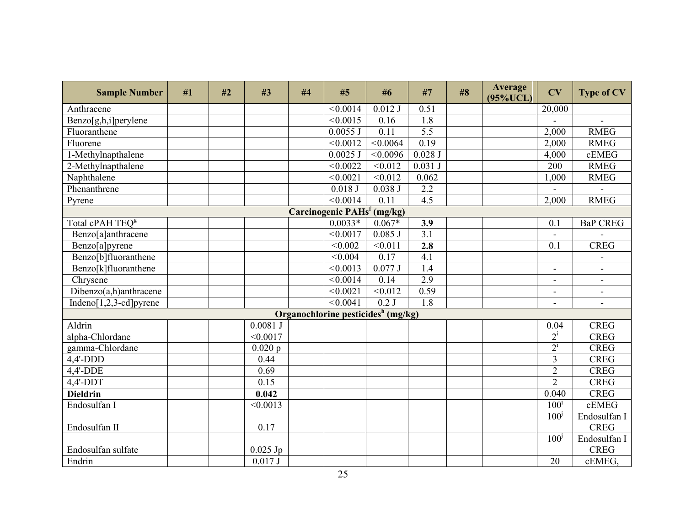| <b>Sample Number</b>        | #1 | #2 | #3         | #4 | #5                                             | #6                | #7               | #8 | <b>Average</b><br>$(95\% UCL)$ | CV                       | <b>Type of CV</b>        |
|-----------------------------|----|----|------------|----|------------------------------------------------|-------------------|------------------|----|--------------------------------|--------------------------|--------------------------|
| Anthracene                  |    |    |            |    | < 0.0014                                       | $0.012$ J         | 0.51             |    |                                | 20,000                   |                          |
| Benzo[g,h,i]perylene        |    |    |            |    | $\sqrt{0.0015}$                                | 0.16              | 1.8              |    |                                |                          | $\overline{a}$           |
| Fluoranthene                |    |    |            |    | $0.0055$ J                                     | 0.11              | $\overline{5.5}$ |    |                                | 2,000                    | <b>RMEG</b>              |
| Fluorene                    |    |    |            |    | < 0.0012                                       | < 0.0064          | 0.19             |    |                                | 2,000                    | <b>RMEG</b>              |
| 1-Methylnapthalene          |    |    |            |    | $0.0025$ J                                     | < 0.0096          | $0.028$ J        |    |                                | 4,000                    | cEMEG                    |
| 2-Methylnapthalene          |    |    |            |    | < 0.0022                                       | < 0.012           | 0.031 J          |    |                                | 200                      | <b>RMEG</b>              |
| Naphthalene                 |    |    |            |    | < 0.0021                                       | < 0.012           | 0.062            |    |                                | 1,000                    | <b>RMEG</b>              |
| Phenanthrene                |    |    |            |    | 0.018J                                         | 0.038J            | 2.2              |    |                                |                          |                          |
| Pyrene                      |    |    |            |    | $\sqrt{0.0014}$                                | $\overline{0.11}$ | 4.5              |    |                                | 2,000                    | <b>RMEG</b>              |
|                             |    |    |            |    | Carcinogenic PAHs <sup>f</sup> (mg/kg)         |                   |                  |    |                                |                          |                          |
| Total cPAH TEQ <sup>g</sup> |    |    |            |    | $0.0033*$                                      | $0.067*$          | 3.9              |    |                                | 0.1                      | <b>BaP CREG</b>          |
| Benzo[a]anthracene          |    |    |            |    | < 0.0017                                       | $0.085$ J         | $\overline{3.1}$ |    |                                |                          |                          |
| Benzo[a]pyrene              |    |    |            |    | < 0.002                                        | < 0.011           | 2.8              |    |                                | 0.1                      | <b>CREG</b>              |
| Benzo[b]fluoranthene        |    |    |            |    | < 0.004                                        | 0.17              | 4.1              |    |                                |                          |                          |
| Benzo[k]fluoranthene        |    |    |            |    | < 0.0013                                       | 0.077J            | 1.4              |    |                                | $\blacksquare$           | $\overline{\phantom{a}}$ |
| Chrysene                    |    |    |            |    | < 0.0014                                       | 0.14              | 2.9              |    |                                | ÷,                       | $\blacksquare$           |
| Dibenzo(a,h)anthracene      |    |    |            |    | < 0.0021                                       | < 0.012           | 0.59             |    |                                | $\overline{\phantom{0}}$ |                          |
| Indeno[ $1,2,3$ -cd] pyrene |    |    |            |    | < 0.0041                                       | $0.2$ J           | 1.8              |    |                                | ۰                        | $\blacksquare$           |
|                             |    |    |            |    | Organochlorine pesticides <sup>h</sup> (mg/kg) |                   |                  |    |                                |                          |                          |
| Aldrin                      |    |    | $0.0081$ J |    |                                                |                   |                  |    |                                | 0.04                     | <b>CREG</b>              |
| alpha-Chlordane             |    |    | < 0.0017   |    |                                                |                   |                  |    |                                | $2^{i}$                  | <b>CREG</b>              |
| gamma-Chlordane             |    |    | 0.020 p    |    |                                                |                   |                  |    |                                | $2^{i}$                  | <b>CREG</b>              |
| $4,4'-DDD$                  |    |    | 0.44       |    |                                                |                   |                  |    |                                | $\overline{3}$           | <b>CREG</b>              |
| $4,4'$ -DDE                 |    |    | 0.69       |    |                                                |                   |                  |    |                                | $\overline{2}$           | <b>CREG</b>              |
| $4,4'$ -DDT                 |    |    | 0.15       |    |                                                |                   |                  |    |                                | $\overline{2}$           | <b>CREG</b>              |
| <b>Dieldrin</b>             |    |    | 0.042      |    |                                                |                   |                  |    |                                | 0.040                    | <b>CREG</b>              |
| Endosulfan I                |    |    | < 0.0013   |    |                                                |                   |                  |    |                                | 100 <sup>j</sup>         | cEMEG                    |
|                             |    |    |            |    |                                                |                   |                  |    |                                | 100 <sup>j</sup>         | Endosulfan I             |
| Endosulfan II               |    |    | 0.17       |    |                                                |                   |                  |    |                                |                          | <b>CREG</b>              |
|                             |    |    |            |    |                                                |                   |                  |    |                                | 100 <sup>j</sup>         | Endosulfan I             |
| Endosulfan sulfate          |    |    | $0.025$ Jp |    |                                                |                   |                  |    |                                |                          | <b>CREG</b>              |
| Endrin                      |    |    | 0.017J     |    |                                                |                   |                  |    |                                | 20                       | cEMEG,                   |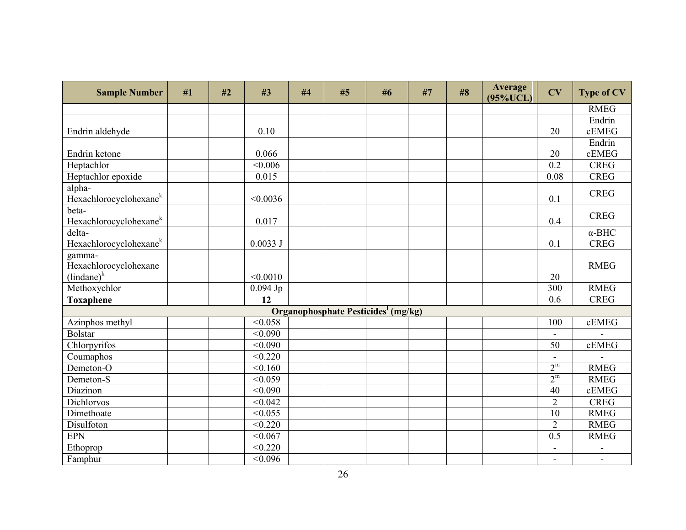| <b>Sample Number</b>                             | #1 | #2 | #3             | #4 | #5                                              | #6 | #7 | #8 | Average<br>$(95\% UCL)$ | CV                       | <b>Type of CV</b>            |
|--------------------------------------------------|----|----|----------------|----|-------------------------------------------------|----|----|----|-------------------------|--------------------------|------------------------------|
|                                                  |    |    |                |    |                                                 |    |    |    |                         |                          | <b>RMEG</b>                  |
|                                                  |    |    |                |    |                                                 |    |    |    |                         |                          | Endrin                       |
| Endrin aldehyde                                  |    |    | 0.10           |    |                                                 |    |    |    |                         | 20                       | cEMEG                        |
|                                                  |    |    |                |    |                                                 |    |    |    |                         |                          | Endrin                       |
| Endrin ketone                                    |    |    | 0.066          |    |                                                 |    |    |    |                         | 20                       | cEMEG                        |
| Heptachlor                                       |    |    | < 0.006        |    |                                                 |    |    |    |                         | $\overline{0.2}$         | <b>CREG</b>                  |
| Heptachlor epoxide                               |    |    | 0.015          |    |                                                 |    |    |    |                         | 0.08                     | <b>CREG</b>                  |
| alpha-<br>Hexachlorocyclohexane <sup>k</sup>     |    |    | < 0.0036       |    |                                                 |    |    |    |                         | 0.1                      | <b>CREG</b>                  |
| beta-<br>Hexachlorocyclohexane <sup>k</sup>      |    |    | 0.017          |    |                                                 |    |    |    |                         | 0.4                      | <b>CREG</b>                  |
| delta-<br>Hexachlorocyclohexane <sup>k</sup>     |    |    | 0.0033J        |    |                                                 |    |    |    |                         | 0.1                      | $\alpha$ -BHC<br><b>CREG</b> |
| gamma-<br>Hexachlorocyclohexane<br>$(lindane)^k$ |    |    | < 0.0010       |    |                                                 |    |    |    |                         | 20                       | <b>RMEG</b>                  |
| Methoxychlor                                     |    |    | $0.094$ Jp     |    |                                                 |    |    |    |                         | 300                      | <b>RMEG</b>                  |
| <b>Toxaphene</b>                                 |    |    | 12             |    |                                                 |    |    |    |                         | 0.6                      | <b>CREG</b>                  |
|                                                  |    |    |                |    | Organophosphate Pesticides <sup>1</sup> (mg/kg) |    |    |    |                         |                          |                              |
| Azinphos methyl                                  |    |    | < 0.058        |    |                                                 |    |    |    |                         | 100                      | cEMEG                        |
| <b>Bolstar</b>                                   |    |    | < 0.090        |    |                                                 |    |    |    |                         | $\blacksquare$           |                              |
| Chlorpyrifos                                     |    |    | <0.090         |    |                                                 |    |    |    |                         | 50                       | cEMEG                        |
| Coumaphos                                        |    |    | < 0.220        |    |                                                 |    |    |    |                         | $\blacksquare$           |                              |
| Demeton-O                                        |    |    | < 0.160        |    |                                                 |    |    |    |                         | $2^m$                    | <b>RMEG</b>                  |
| Demeton-S                                        |    |    | < 0.059        |    |                                                 |    |    |    |                         | $2^{\rm m}$              | <b>RMEG</b>                  |
| Diazinon                                         |    |    | < 0.090        |    |                                                 |    |    |    |                         | 40                       | cEMEG                        |
| Dichlorvos                                       |    |    | < 0.042        |    |                                                 |    |    |    |                         | $\overline{2}$           | <b>CREG</b>                  |
| Dimethoate                                       |    |    | $\sqrt{0.055}$ |    |                                                 |    |    |    |                         | $\overline{10}$          | <b>RMEG</b>                  |
| Disulfoton                                       |    |    | < 0.220        |    |                                                 |    |    |    |                         | $\overline{2}$           | <b>RMEG</b>                  |
| EPN                                              |    |    | < 0.067        |    |                                                 |    |    |    |                         | 0.5                      | <b>RMEG</b>                  |
| Ethoprop                                         |    |    | < 0.220        |    |                                                 |    |    |    |                         | $\overline{a}$           |                              |
| Famphur                                          |    |    | < 0.096        |    |                                                 |    |    |    |                         | $\overline{\phantom{a}}$ | $\blacksquare$               |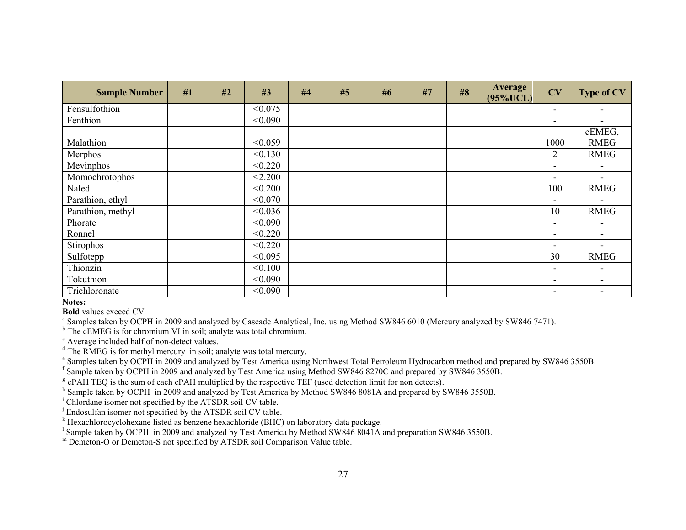| <b>Sample Number</b> | #1 | #2 | #3      | #4 | #5 | #6 | #7 | #8 | <b>Average</b><br>$(95\% UCL)$ | CV                       | <b>Type of CV</b>        |
|----------------------|----|----|---------|----|----|----|----|----|--------------------------------|--------------------------|--------------------------|
| Fensulfothion        |    |    | < 0.075 |    |    |    |    |    |                                | $\overline{\phantom{a}}$ |                          |
| Fenthion             |    |    | < 0.090 |    |    |    |    |    |                                | $\overline{\phantom{a}}$ |                          |
|                      |    |    |         |    |    |    |    |    |                                |                          | cEMEG,                   |
| Malathion            |    |    | < 0.059 |    |    |    |    |    |                                | 1000                     | <b>RMEG</b>              |
| Merphos              |    |    | < 0.130 |    |    |    |    |    |                                | $\overline{2}$           | <b>RMEG</b>              |
| Mevinphos            |    |    | < 0.220 |    |    |    |    |    |                                | $\overline{\phantom{a}}$ |                          |
| Momochrotophos       |    |    | < 2.200 |    |    |    |    |    |                                | $\overline{\phantom{a}}$ |                          |
| Naled                |    |    | < 0.200 |    |    |    |    |    |                                | 100                      | <b>RMEG</b>              |
| Parathion, ethyl     |    |    | < 0.070 |    |    |    |    |    |                                | $\overline{\phantom{a}}$ |                          |
| Parathion, methyl    |    |    | < 0.036 |    |    |    |    |    |                                | 10                       | <b>RMEG</b>              |
| Phorate              |    |    | < 0.090 |    |    |    |    |    |                                | $\overline{\phantom{a}}$ |                          |
| Ronnel               |    |    | < 0.220 |    |    |    |    |    |                                | $\overline{\phantom{a}}$ | $\overline{\phantom{a}}$ |
| Stirophos            |    |    | < 0.220 |    |    |    |    |    |                                | $\overline{\phantom{a}}$ |                          |
| Sulfotepp            |    |    | < 0.095 |    |    |    |    |    |                                | 30                       | <b>RMEG</b>              |
| Thionzin             |    |    | < 0.100 |    |    |    |    |    |                                | $\overline{\phantom{a}}$ | $\overline{\phantom{0}}$ |
| Tokuthion            |    |    | < 0.090 |    |    |    |    |    |                                | $\overline{\phantom{0}}$ |                          |
| Trichloronate        |    |    | < 0.090 |    |    |    |    |    |                                | $\overline{\phantom{a}}$ |                          |

**Notes:** 

**Bold** values exceed CV

<sup>a</sup> Samples taken by OCPH in 2009 and analyzed by Cascade Analytical, Inc. using Method SW846 6010 (Mercury analyzed by SW846 7471).

<sup>b</sup> The cEMEG is for chromium VI in soil; analyte was total chromium.

c Average included half of non-detect values.

<sup>d</sup> The RMEG is for methyl mercury in soil; analyte was total mercury.

<sup>e</sup> Samples taken by OCPH in 2009 and analyzed by Test America using Northwest Total Petroleum Hydrocarbon method and prepared by SW846 3550B.

f Sample taken by OCPH in 2009 and analyzed by Test America using Method SW846 8270C and prepared by SW846 3550B.

<sup>g</sup> cPAH TEQ is the sum of each cPAH multiplied by the respective TEF (used detection limit for non detects).

<sup>h</sup> Sample taken by OCPH in 2009 and analyzed by Test America by Method SW846 8081A and prepared by SW846 3550B.

<sup>i</sup> Chlordane isomer not specified by the ATSDR soil CV table.

<sup>j</sup> Endosulfan isomer not specified by the ATSDR soil CV table.

<sup>k</sup> Hexachlorocyclohexane listed as benzene hexachloride (BHC) on laboratory data package.

<sup>1</sup> Sample taken by OCPH in 2009 and analyzed by Test America by Method SW846 8041A and preparation SW846 3550B.

m Demeton-O or Demeton-S not specified by ATSDR soil Comparison Value table.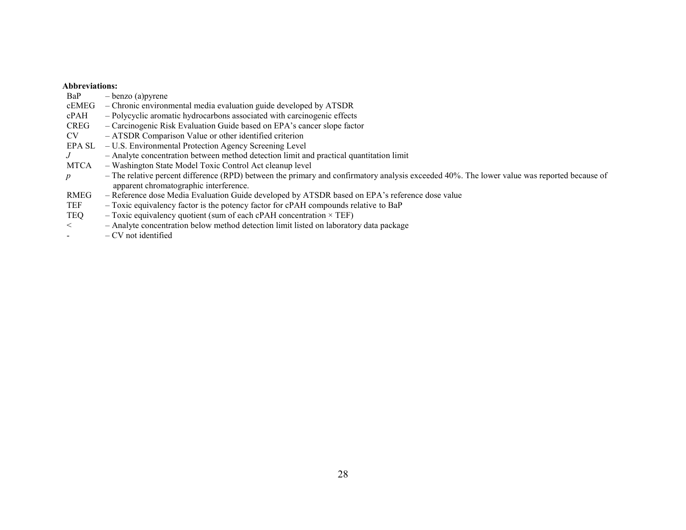# **Abbreviations:**<br>BaP - be

| BaP         | $-\text{benzo}$ (a) pyrene                                                                                                                                                            |
|-------------|---------------------------------------------------------------------------------------------------------------------------------------------------------------------------------------|
| cEMEG       | - Chronic environmental media evaluation guide developed by ATSDR                                                                                                                     |
| cPAH        | - Polycyclic aromatic hydrocarbons associated with carcinogenic effects                                                                                                               |
| <b>CREG</b> | - Carcinogenic Risk Evaluation Guide based on EPA's cancer slope factor                                                                                                               |
| CV          | - ATSDR Comparison Value or other identified criterion                                                                                                                                |
| EPA SL      | - U.S. Environmental Protection Agency Screening Level                                                                                                                                |
| J           | - Analyte concentration between method detection limit and practical quantitation limit                                                                                               |
| <b>MTCA</b> | - Washington State Model Toxic Control Act cleanup level                                                                                                                              |
| p           | - The relative percent difference (RPD) between the primary and confirmatory analysis exceeded 40%. The lower value was reported because of<br>apparent chromatographic interference. |
| RMEG        | - Reference dose Media Evaluation Guide developed by ATSDR based on EPA's reference dose value                                                                                        |
| TEF         | - Toxic equivalency factor is the potency factor for cPAH compounds relative to BaP                                                                                                   |
| TEQ         | $-$ Toxic equivalency quotient (sum of each cPAH concentration $\times$ TEF)                                                                                                          |
| $\lt$       | - Analyte concentration below method detection limit listed on laboratory data package                                                                                                |
|             | $-CV$ not identified                                                                                                                                                                  |
|             |                                                                                                                                                                                       |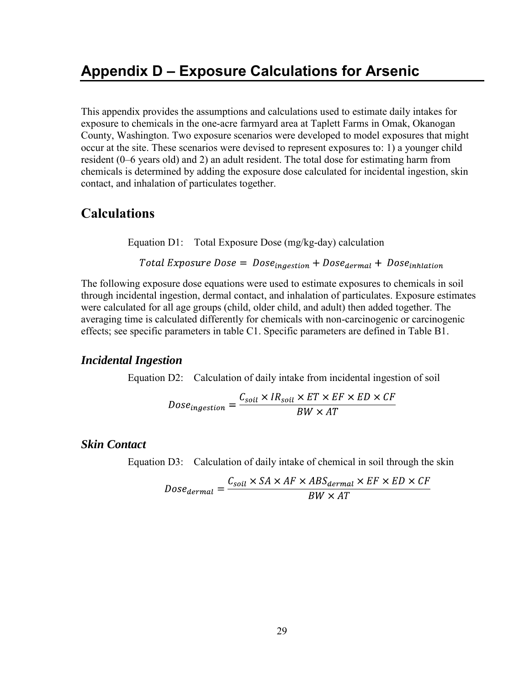This appendix provides the assumptions and calculations used to estimate daily intakes for exposure to chemicals in the one-acre farmyard area at Taplett Farms in Omak, Okanogan County, Washington. Two exposure scenarios were developed to model exposures that might occur at the site. These scenarios were devised to represent exposures to: 1) a younger child resident (0–6 years old) and 2) an adult resident. The total dose for estimating harm from chemicals is determined by adding the exposure dose calculated for incidental ingestion, skin contact, and inhalation of particulates together.

### **Calculations**

Equation D1: Total Exposure Dose (mg/kg-day) calculation

Total Exposure Dose =  $Dose_{ingestion} + Dose_{dermal} + Dose_{inflation}$ 

The following exposure dose equations were used to estimate exposures to chemicals in soil through incidental ingestion, dermal contact, and inhalation of particulates. Exposure estimates were calculated for all age groups (child, older child, and adult) then added together. The averaging time is calculated differently for chemicals with non-carcinogenic or carcinogenic effects; see specific parameters in table C1. Specific parameters are defined in Table B1.

#### *Incidental Ingestion*

Equation D2: Calculation of daily intake from incidental ingestion of soil

$$
Dose_{ingestion} = \frac{C_{soil} \times IR_{soil} \times ET \times EF \times ED \times CF}{BW \times AT}
$$

### *Skin Contact*

Equation D3: Calculation of daily intake of chemical in soil through the skin

$$
Dose_{dermal} = \frac{C_{soil} \times SA \times AF \times ABS_{dermal} \times EF \times ED \times CF}{BW \times AT}
$$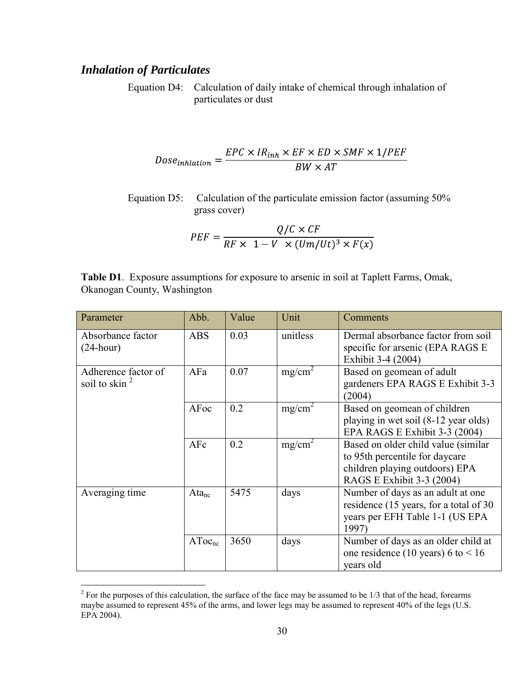### *Inhalation of Particulates*

Equation D4: Calculation of daily intake of chemical through inhalation of particulates or dust

$$
Doseinflation = \frac{EPC \times IRinh \times EF \times ED \times SMF \times 1/PEF}{BW \times AT}
$$

Equation D5: Calculation of the particulate emission factor (assuming 50% grass cover)

$$
PEF = \frac{Q/C \times CF}{RF \times 1 - V \times (Um/Ut)^3 \times F(x)}
$$

**Table D1**. Exposure assumptions for exposure to arsenic in soil at Taplett Farms, Omak, Okanogan County, Washington

| Parameter                                | Abb.               | Value | Unit               | Comments                                                                                                                             |
|------------------------------------------|--------------------|-------|--------------------|--------------------------------------------------------------------------------------------------------------------------------------|
| Absorbance factor<br>$(24 \text{-hour})$ | <b>ABS</b>         | 0.03  | unitless           | Dermal absorbance factor from soil<br>specific for arsenic (EPA RAGS E<br>Exhibit 3-4 (2004)                                         |
| Adherence factor of<br>soil to skin $^2$ | AFa                | 0.07  | mg/cm <sup>2</sup> | Based on geomean of adult<br>gardeners EPA RAGS E Exhibit 3-3<br>(2004)                                                              |
|                                          | AFoc               | 0.2   | mg/cm <sup>2</sup> | Based on geomean of children<br>playing in wet soil (8-12 year olds)<br>EPA RAGS E Exhibit 3-3 (2004)                                |
|                                          | AFc                | 0.2   | mg/cm <sup>2</sup> | Based on older child value (similar<br>to 95th percentile for daycare<br>children playing outdoors) EPA<br>RAGS E Exhibit 3-3 (2004) |
| Averaging time                           | $Ata_{nc}$         | 5475  | days               | Number of days as an adult at one<br>residence (15 years, for a total of 30<br>years per EFH Table 1-1 (US EPA<br>1997)              |
|                                          | AToc <sub>nc</sub> | 3650  | days               | Number of days as an older child at<br>one residence (10 years) 6 to $< 16$<br>years old                                             |

<sup>&</sup>lt;sup>2</sup> For the purposes of this calculation, the surface of the face may be assumed to be 1/3 that of the head, forearms maybe assumed to represent 45% of the arms, and lower legs may be assumed to represent 40% of the legs (U.S. EPA 2004).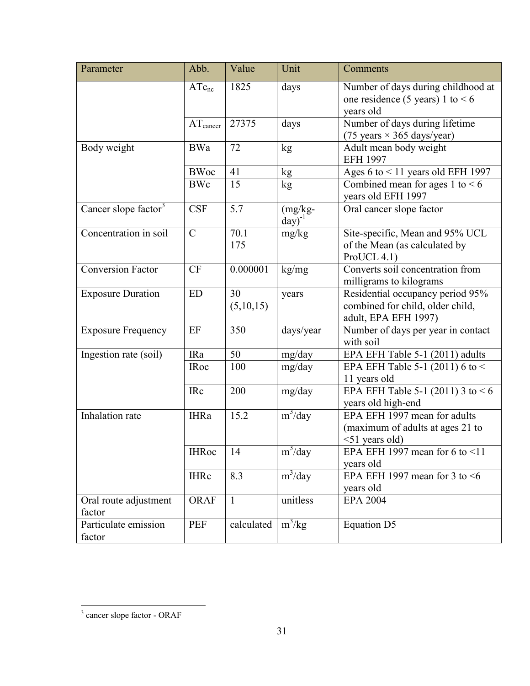| Parameter                        | Abb.                 | Value           | Unit                      | Comments                                                                                     |
|----------------------------------|----------------------|-----------------|---------------------------|----------------------------------------------------------------------------------------------|
|                                  | $ATc_{nc}$           | 1825            | days                      | Number of days during childhood at<br>one residence (5 years) 1 to $< 6$<br>years old        |
|                                  | $AT_{\text{cancer}}$ | 27375           | days                      | Number of days during lifetime<br>$(75 \text{ years} \times 365 \text{ days/year})$          |
| Body weight                      | <b>BWa</b>           | 72              | kg                        | Adult mean body weight<br><b>EFH 1997</b>                                                    |
|                                  | <b>BWoc</b>          | 41              | kg                        | Ages $6$ to $<$ 11 years old EFH 1997                                                        |
|                                  | <b>BWc</b>           | 15              | kg                        | Combined mean for ages 1 to $< 6$<br>years old EFH 1997                                      |
| Cancer slope factor <sup>3</sup> | <b>CSF</b>           | 5.7             | $(mg/kg -$<br>$day)^{-1}$ | Oral cancer slope factor                                                                     |
| Concentration in soil            | $\mathcal{C}$        | 70.1<br>175     | mg/kg                     | Site-specific, Mean and 95% UCL<br>of the Mean (as calculated by<br>ProUCL 4.1)              |
| Conversion Factor                | <b>CF</b>            | 0.000001        | kg/mg                     | Converts soil concentration from<br>milligrams to kilograms                                  |
| <b>Exposure Duration</b>         | ED                   | 30<br>(5,10,15) | years                     | Residential occupancy period 95%<br>combined for child, older child,<br>adult, EPA EFH 1997) |
| <b>Exposure Frequency</b>        | EF                   | 350             | days/year                 | Number of days per year in contact<br>with soil                                              |
| Ingestion rate (soil)            | <b>IRa</b>           | 50              | mg/day                    | EPA EFH Table 5-1 (2011) adults                                                              |
|                                  | <b>IRoc</b>          | 100             | mg/day                    | EPA EFH Table 5-1 (2011) 6 to <<br>11 years old                                              |
|                                  | <b>IRc</b>           | 200             | mg/day                    | EPA EFH Table $5-1$ (2011) 3 to <6<br>years old high-end                                     |
| Inhalation rate                  | <b>IHRa</b>          | 15.2            | $m^3$ /day                | EPA EFH 1997 mean for adults<br>(maximum of adults at ages 21 to<br>$<$ 51 years old)        |
|                                  | <b>IHRoc</b>         | 14              | m <sup>3</sup> /day       | EPA EFH 1997 mean for 6 to $\leq 11$<br>years old                                            |
|                                  | <b>IHRc</b>          | 8.3             | $m^3$ /day                | EPA EFH 1997 mean for 3 to $\leq 6$<br>years old                                             |
| Oral route adjustment<br>factor  | <b>ORAF</b>          | $\mathbf{1}$    | unitless                  | <b>EPA 2004</b>                                                                              |
| Particulate emission<br>factor   | <b>PEF</b>           | calculated      | $m^3/kg$                  | Equation D5                                                                                  |

<sup>&</sup>lt;sup>3</sup> cancer slope factor - ORAF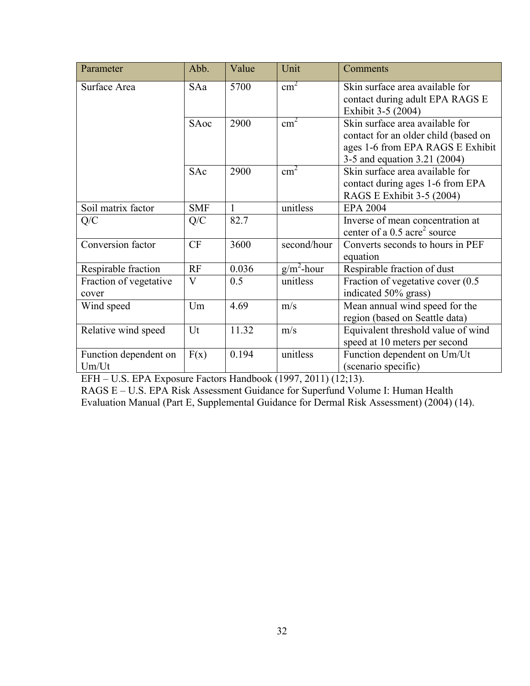| Parameter                       | Abb.                    | Value        | Unit          | Comments                                                                                                                                    |
|---------------------------------|-------------------------|--------------|---------------|---------------------------------------------------------------------------------------------------------------------------------------------|
| Surface Area                    | SAa                     | 5700         | $\text{cm}^2$ | Skin surface area available for<br>contact during adult EPA RAGS E<br>Exhibit 3-5 (2004)                                                    |
|                                 | SAoc                    | 2900         | $\text{cm}^2$ | Skin surface area available for<br>contact for an older child (based on<br>ages 1-6 from EPA RAGS E Exhibit<br>3-5 and equation 3.21 (2004) |
|                                 | SAc                     | 2900         | $\text{cm}^2$ | Skin surface area available for<br>contact during ages 1-6 from EPA<br>RAGS E Exhibit 3-5 (2004)                                            |
| Soil matrix factor              | <b>SMF</b>              | $\mathbf{1}$ | unitless      | <b>EPA 2004</b>                                                                                                                             |
| Q/C                             | Q/C                     | 82.7         |               | Inverse of mean concentration at<br>center of a $0.5$ acre <sup>2</sup> source                                                              |
| Conversion factor               | CF                      | 3600         | second/hour   | Converts seconds to hours in PEF<br>equation                                                                                                |
| Respirable fraction             | RF                      | 0.036        | $g/m^2$ -hour | Respirable fraction of dust                                                                                                                 |
| Fraction of vegetative<br>cover | $\overline{\mathsf{V}}$ | 0.5          | unitless      | Fraction of vegetative cover (0.5)<br>indicated 50% grass)                                                                                  |
| Wind speed                      | Um                      | 4.69         | m/s           | Mean annual wind speed for the<br>region (based on Seattle data)                                                                            |
| Relative wind speed             | Ut                      | 11.32        | m/s           | Equivalent threshold value of wind<br>speed at 10 meters per second                                                                         |
| Function dependent on<br>Um/Ut  | F(x)                    | 0.194        | unitless      | Function dependent on Um/Ut<br>(scenario specific)                                                                                          |

EFH – U.S. EPA Exposure Factors Handbook (1997, 2011) (12;13).

RAGS E – U.S. EPA Risk Assessment Guidance for Superfund Volume I: Human Health Evaluation Manual (Part E, Supplemental Guidance for Dermal Risk Assessment) (2004) (14).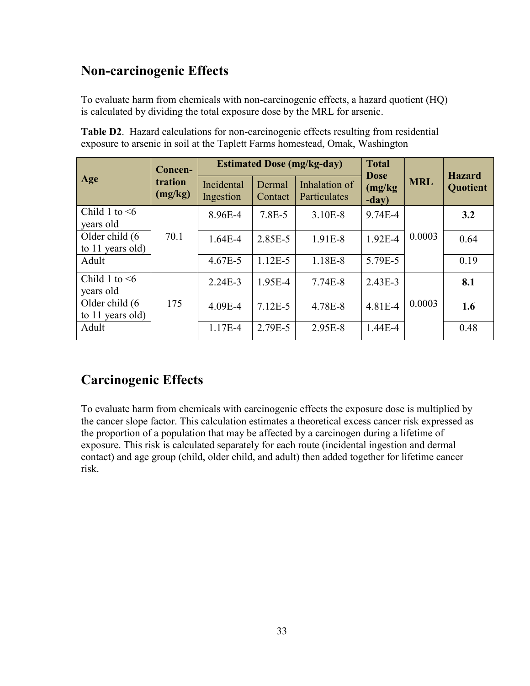## **Non-carcinogenic Effects**

To evaluate harm from chemicals with non-carcinogenic effects, a hazard quotient (HQ) is calculated by dividing the total exposure dose by the MRL for arsenic.

|                                     | Concen-            |                         |                   | <b>Estimated Dose (mg/kg-day)</b> | <b>Total</b>                    |            | <b>Hazard</b> |
|-------------------------------------|--------------------|-------------------------|-------------------|-----------------------------------|---------------------------------|------------|---------------|
| Age                                 | tration<br>(mg/kg) | Incidental<br>Ingestion | Dermal<br>Contact | Inhalation of<br>Particulates     | <b>Dose</b><br>(mg/kg)<br>-day) | <b>MRL</b> | Quotient      |
| Child 1 to $\leq 6$<br>years old    |                    | 8.96E-4                 | 7.8E-5            | 3.10E-8                           | 9.74E-4                         |            | 3.2           |
| Older child (6<br>to 11 years old)  | 70.1               | $1.64E-4$               | 2.85E-5           | 1.91E-8                           | 1.92E-4                         | 0.0003     | 0.64          |
| Adult                               |                    | 4.67E-5                 | $1.12E-5$         | 1.18E-8                           | 5.79E-5                         |            | 0.19          |
| Child 1 to $\leq 6$<br>years old    |                    | $2.24E-3$               | 1.95E-4           | 7.74E-8                           | $2.43E-3$                       |            | 8.1           |
| Older child (6)<br>to 11 years old) | 175                | 4.09E-4                 | $7.12E-5$         | 4.78E-8                           | 4.81E-4                         | 0.0003     | 1.6           |
| Adult                               |                    | 1.17E-4                 | 2.79E-5           | 2.95E-8                           | $1.44E - 4$                     |            | 0.48          |

**Table D2**. Hazard calculations for non-carcinogenic effects resulting from residential exposure to arsenic in soil at the Taplett Farms homestead, Omak, Washington

# **Carcinogenic Effects**

To evaluate harm from chemicals with carcinogenic effects the exposure dose is multiplied by the cancer slope factor. This calculation estimates a theoretical excess cancer risk expressed as the proportion of a population that may be affected by a carcinogen during a lifetime of exposure. This risk is calculated separately for each route (incidental ingestion and dermal contact) and age group (child, older child, and adult) then added together for lifetime cancer risk.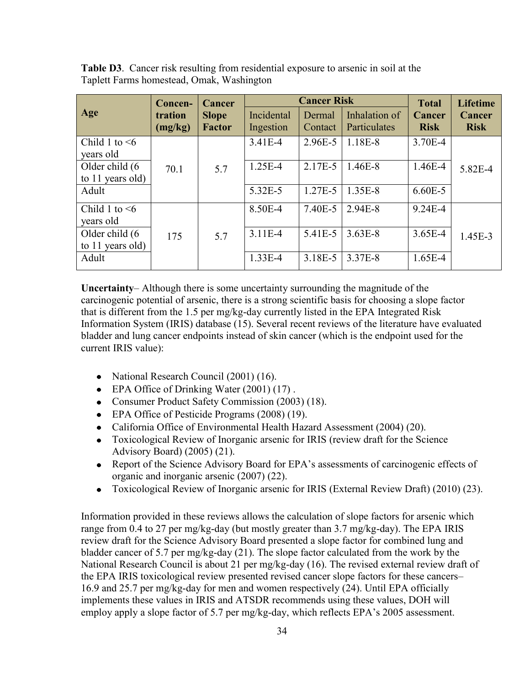**Table D3**. Cancer risk resulting from residential exposure to arsenic in soil at the Taplett Farms homestead, Omak, Washington

|                                    | Concen-            | <b>Cancer</b>                 |                         | <b>Cancer Risk</b> |                               |                                       | <b>Lifetime</b>       |
|------------------------------------|--------------------|-------------------------------|-------------------------|--------------------|-------------------------------|---------------------------------------|-----------------------|
| Age                                | tration<br>(mg/kg) | <b>Slope</b><br><b>Factor</b> | Incidental<br>Ingestion | Dermal<br>Contact  | Inhalation of<br>Particulates | <b>Total</b><br>Cancer<br><b>Risk</b> | Cancer<br><b>Risk</b> |
| Child 1 to $\leq 6$<br>years old   |                    |                               | 3.41E-4                 | 2.96E-5            | 1.18E-8                       | 3.70E-4                               |                       |
| Older child (6<br>to 11 years old) | 70.1               | 5.7                           | 1.25E-4                 | 2.17E-5            | $1.46E-8$                     | $1.46E - 4$                           | 5.82E-4               |
| Adult                              |                    |                               | 5.32E-5                 | 1.27E-5            | 1.35E-8                       | $6.60E - 5$                           |                       |
| Child 1 to $\leq 6$<br>years old   |                    |                               | 8.50E-4                 | 7.40E-5            | 2.94E-8                       | $9.24E - 4$                           |                       |
| Older child (6<br>to 11 years old) | 175                | 5.7                           | $3.11E-4$               | 5.41E-5            | $3.63E-8$                     | $3.65E-4$                             | 1.45E-3               |
| Adult                              |                    |                               | $1.33E - 4$             | 3.18E-5            | 3.37E-8                       | $1.65E-4$                             |                       |

**Uncertainty**– Although there is some uncertainty surrounding the magnitude of the carcinogenic potential of arsenic, there is a strong scientific basis for choosing a slope factor that is different from the 1.5 per mg/kg-day currently listed in the EPA Integrated Risk Information System (IRIS) database (15). Several recent reviews of the literature have evaluated bladder and lung cancer endpoints instead of skin cancer (which is the endpoint used for the current IRIS value):

- National Research Council (2001) (16).
- EPA Office of Drinking Water (2001) (17).
- Consumer Product Safety Commission (2003) (18).
- EPA Office of Pesticide Programs (2008) (19).
- California Office of Environmental Health Hazard Assessment (2004) (20).  $\bullet$
- Toxicological Review of Inorganic arsenic for IRIS (review draft for the Science  $\bullet$ Advisory Board) (2005) (21).
- Report of the Science Advisory Board for EPA's assessments of carcinogenic effects of  $\bullet$ organic and inorganic arsenic (2007) (22).
- Toxicological Review of Inorganic arsenic for IRIS (External Review Draft) (2010) (23).  $\bullet$

Information provided in these reviews allows the calculation of slope factors for arsenic which range from 0.4 to 27 per mg/kg-day (but mostly greater than 3.7 mg/kg-day). The EPA IRIS review draft for the Science Advisory Board presented a slope factor for combined lung and bladder cancer of 5.7 per mg/kg-day (21). The slope factor calculated from the work by the National Research Council is about 21 per mg/kg-day (16). The revised external review draft of the EPA IRIS toxicological review presented revised cancer slope factors for these cancers– 16.9 and 25.7 per mg/kg-day for men and women respectively (24). Until EPA officially implements these values in IRIS and ATSDR recommends using these values, DOH will employ apply a slope factor of 5.7 per mg/kg-day, which reflects EPA's 2005 assessment.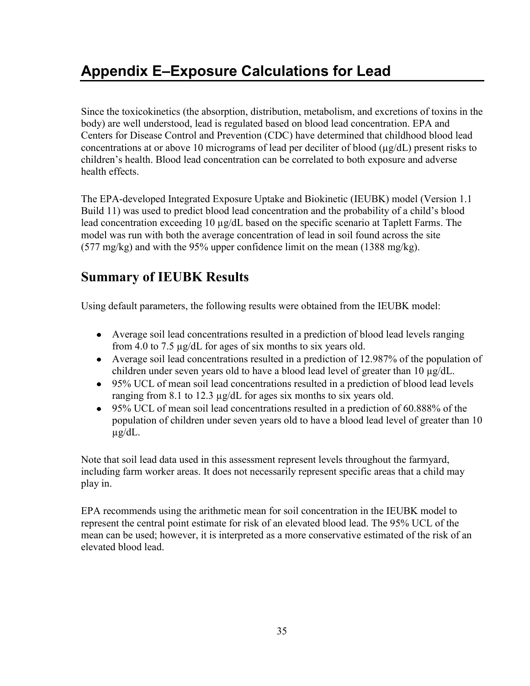# **Appendix E–Exposure Calculations for Lead**

Since the toxicokinetics (the absorption, distribution, metabolism, and excretions of toxins in the body) are well understood, lead is regulated based on blood lead concentration. EPA and Centers for Disease Control and Prevention (CDC) have determined that childhood blood lead concentrations at or above 10 micrograms of lead per deciliter of blood (µg/dL) present risks to children's health. Blood lead concentration can be correlated to both exposure and adverse health effects.

The EPA-developed Integrated Exposure Uptake and Biokinetic (IEUBK) model (Version 1.1 Build 11) was used to predict blood lead concentration and the probability of a child's blood lead concentration exceeding 10 µg/dL based on the specific scenario at Taplett Farms. The model was run with both the average concentration of lead in soil found across the site (577 mg/kg) and with the 95% upper confidence limit on the mean (1388 mg/kg).

## **Summary of IEUBK Results**

Using default parameters, the following results were obtained from the IEUBK model:

- Average soil lead concentrations resulted in a prediction of blood lead levels ranging  $\bullet$ from 4.0 to 7.5 µg/dL for ages of six months to six years old.
- Average soil lead concentrations resulted in a prediction of 12.987% of the population of  $\bullet$ children under seven years old to have a blood lead level of greater than 10 µg/dL.
- 95% UCL of mean soil lead concentrations resulted in a prediction of blood lead levels  $\bullet$ ranging from 8.1 to 12.3 µg/dL for ages six months to six years old.
- 95% UCL of mean soil lead concentrations resulted in a prediction of 60.888% of the  $\bullet$ population of children under seven years old to have a blood lead level of greater than 10 µg/dL.

Note that soil lead data used in this assessment represent levels throughout the farmyard, including farm worker areas. It does not necessarily represent specific areas that a child may play in.

EPA recommends using the arithmetic mean for soil concentration in the IEUBK model to represent the central point estimate for risk of an elevated blood lead. The 95% UCL of the mean can be used; however, it is interpreted as a more conservative estimated of the risk of an elevated blood lead.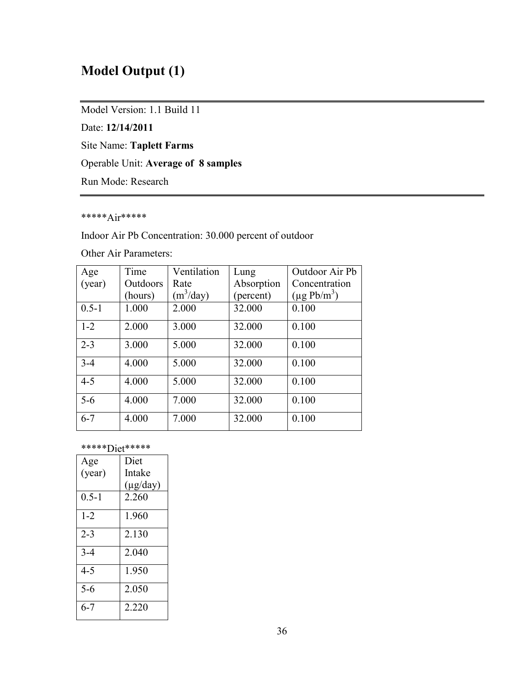## **Model Output (1)**

Model Version: 1.1 Build 11

Date: **12/14/2011**

Site Name: **Taplett Farms**

Operable Unit: **Average of 8 samples**

Run Mode: Research

### \*\*\*\*\*Air\*\*\*\*\*

Indoor Air Pb Concentration: 30.000 percent of outdoor

Other Air Parameters:

| Age       | Time     | Ventilation | Lung       | Outdoor Air Pb   |
|-----------|----------|-------------|------------|------------------|
| (year)    | Outdoors | Rate        | Absorption | Concentration    |
|           | (hours)  | $(m^3/day)$ | (percent)  | $(\mu g Pb/m^3)$ |
| $0.5 - 1$ | 1.000    | 2.000       | 32.000     | 0.100            |
| $1 - 2$   | 2.000    | 3.000       | 32.000     | 0.100            |
| $2 - 3$   | 3.000    | 5.000       | 32.000     | 0.100            |
| $3 - 4$   | 4.000    | 5.000       | 32.000     | 0.100            |
| $4 - 5$   | 4.000    | 5.000       | 32.000     | 0.100            |
| $5-6$     | 4.000    | 7.000       | 32.000     | 0.100            |
| $6 - 7$   | 4.000    | 7.000       | 32.000     | 0.100            |

#### \*\*\*\*\*Diet\*\*\*\*\*

| Age       | Diet          |
|-----------|---------------|
| (year)    | Intake        |
|           | $(\mu g/day)$ |
| $0.5 - 1$ | 2.260         |
| $1 - 2$   | 1.960         |
| $2 - 3$   | 2.130         |
| $3 - 4$   | 2.040         |
| 4-5       | 1.950         |
| $5 - 6$   | 2.050         |
| 6-7       | 2.220         |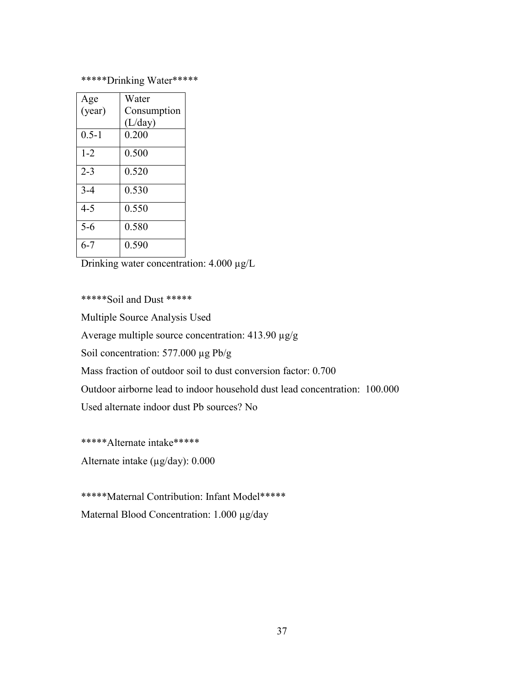### \*\*\*\*\*Drinking Water\*\*\*\*\*

| Age       | Water       |
|-----------|-------------|
| (year)    | Consumption |
|           | (L/day)     |
| $0.5 - 1$ | 0.200       |
| $1 - 2$   | 0.500       |
| $2 - 3$   | 0.520       |
| $3 - 4$   | 0.530       |
| $4 - 5$   | 0.550       |
| $5 - 6$   | 0.580       |
| 6-7       | 0.590       |

Drinking water concentration: 4.000 µg/L

\*\*\*\*\*Soil and Dust \*\*\*\*\*

Multiple Source Analysis Used

Average multiple source concentration: 413.90 µg/g

Soil concentration: 577.000 µg Pb/g

Mass fraction of outdoor soil to dust conversion factor: 0.700

Outdoor airborne lead to indoor household dust lead concentration: 100.000

Used alternate indoor dust Pb sources? No

\*\*\*\*\*Alternate intake\*\*\*\*\*

Alternate intake  $(\mu g/day)$ : 0.000

\*\*\*\*\*Maternal Contribution: Infant Model\*\*\*\*\* Maternal Blood Concentration: 1.000 µg/day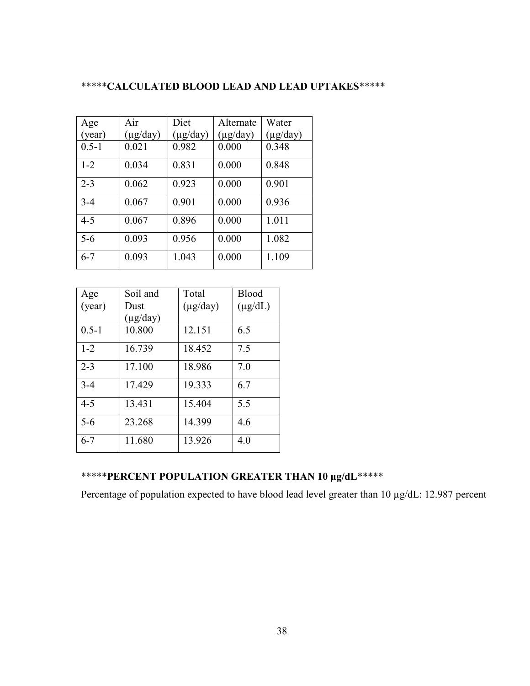### \*\*\*\*\***CALCULATED BLOOD LEAD AND LEAD UPTAKES**\*\*\*\*\*

| Age       | Air           | Diet          | Alternate     | Water         |
|-----------|---------------|---------------|---------------|---------------|
| (year)    | $(\mu g/day)$ | $(\mu g/day)$ | $(\mu g/day)$ | $(\mu g/day)$ |
| $0.5 - 1$ | 0.021         | 0.982         | 0.000         | 0.348         |
| $1 - 2$   | 0.034         | 0.831         | 0.000         | 0.848         |
| $2 - 3$   | 0.062         | 0.923         | 0.000         | 0.901         |
| $3 - 4$   | 0.067         | 0.901         | 0.000         | 0.936         |
| $4 - 5$   | 0.067         | 0.896         | 0.000         | 1.011         |
| $5 - 6$   | 0.093         | 0.956         | 0.000         | 1.082         |
| $6 - 7$   | 0.093         | 1.043         | 0.000         | 1.109         |

| Age       | Soil and      | Total         | <b>Blood</b> |
|-----------|---------------|---------------|--------------|
| (year)    | Dust          | $(\mu g/day)$ | $(\mu g/dL)$ |
|           | $(\mu g/day)$ |               |              |
| $0.5 - 1$ | 10.800        | 12.151        | 6.5          |
| $1 - 2$   | 16.739        | 18.452        | 7.5          |
| $2 - 3$   | 17.100        | 18.986        | 7.0          |
| $3-4$     | 17.429        | 19.333        | 6.7          |
| $4 - 5$   | 13.431        | 15.404        | 5.5          |
| $5 - 6$   | 23.268        | 14.399        | 4.6          |
| $6 - 7$   | 11.680        | 13.926        | 4.0          |

## \*\*\*\*\***PERCENT POPULATION GREATER THAN 10 µg/dL**\*\*\*\*\*

Percentage of population expected to have blood lead level greater than 10  $\mu$ g/dL: 12.987 percent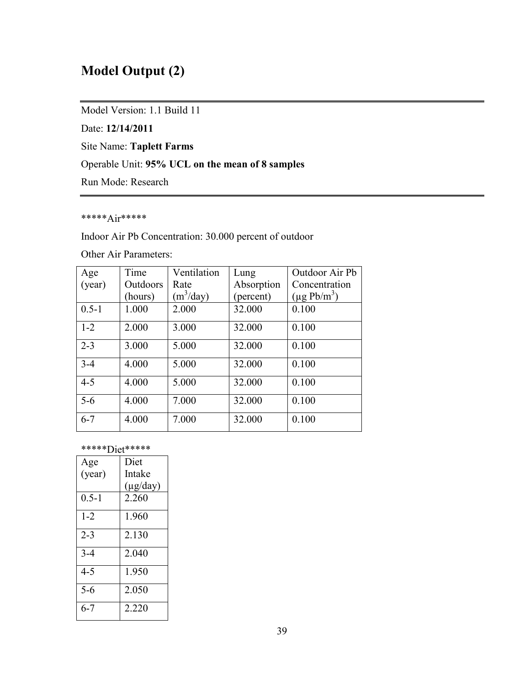## **Model Output (2)**

Model Version: 1.1 Build 11

Date: **12/14/2011**

Site Name: **Taplett Farms**

### Operable Unit: **95% UCL on the mean of 8 samples**

Run Mode: Research

### \*\*\*\*\*Air\*\*\*\*\*

Indoor Air Pb Concentration: 30.000 percent of outdoor

Other Air Parameters:

| Age       | Time     | Ventilation | Lung       | Outdoor Air Pb   |
|-----------|----------|-------------|------------|------------------|
| (year)    | Outdoors | Rate        | Absorption | Concentration    |
|           | (hours)  | $(m^3/day)$ | (percent)  | $(\mu g Pb/m^3)$ |
| $0.5 - 1$ | 1.000    | 2.000       | 32.000     | 0.100            |
| $1 - 2$   | 2.000    | 3.000       | 32.000     | 0.100            |
| $2 - 3$   | 3.000    | 5.000       | 32.000     | 0.100            |
| $3 - 4$   | 4.000    | 5.000       | 32.000     | 0.100            |
| $4 - 5$   | 4.000    | 5.000       | 32.000     | 0.100            |
| $5 - 6$   | 4.000    | 7.000       | 32.000     | 0.100            |
| $6 - 7$   | 4.000    | 7.000       | 32.000     | 0.100            |

#### \*\*\*\*\*Diet\*\*\*\*\*

| Age       | Diet          |
|-----------|---------------|
| (year)    | Intake        |
|           | $(\mu g/day)$ |
| $0.5 - 1$ | 2.260         |
| $1 - 2$   | 1.960         |
| $2 - 3$   | 2.130         |
| $3 - 4$   | 2.040         |
| $4 - 5$   | 1.950         |
| $5 - 6$   | 2.050         |
| $6 - 7$   | 2.220         |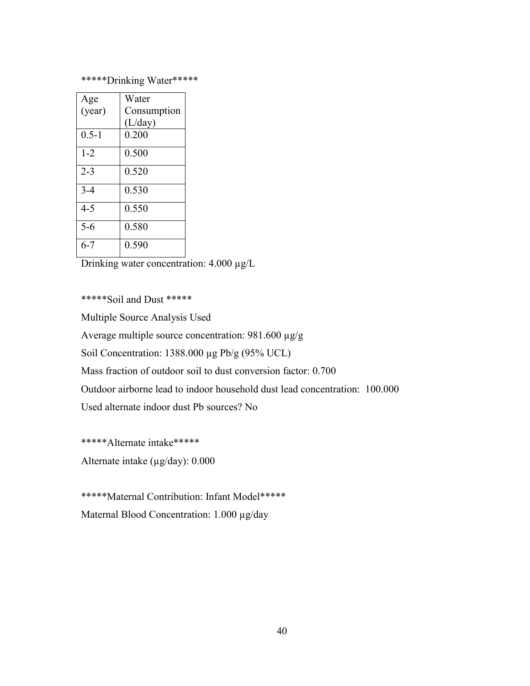### \*\*\*\*\*Drinking Water\*\*\*\*\*

| Age       | Water       |
|-----------|-------------|
| (year)    | Consumption |
|           | (L/day)     |
| $0.5 - 1$ | 0.200       |
| $1 - 2$   | 0.500       |
| $2 - 3$   | 0.520       |
| $3 - 4$   | 0.530       |
| $4 - 5$   | 0.550       |
| $5 - 6$   | 0.580       |
| 6-7       | 0.590       |

Drinking water concentration: 4.000 µg/L

\*\*\*\*\*Soil and Dust \*\*\*\*\*

Multiple Source Analysis Used

Average multiple source concentration: 981.600 µg/g

Soil Concentration: 1388.000 µg Pb/g (95% UCL)

Mass fraction of outdoor soil to dust conversion factor: 0.700

Outdoor airborne lead to indoor household dust lead concentration: 100.000

Used alternate indoor dust Pb sources? No

\*\*\*\*\*Alternate intake\*\*\*\*\*

Alternate intake  $(\mu g/day)$ : 0.000

\*\*\*\*\*Maternal Contribution: Infant Model\*\*\*\*\* Maternal Blood Concentration: 1.000 µg/day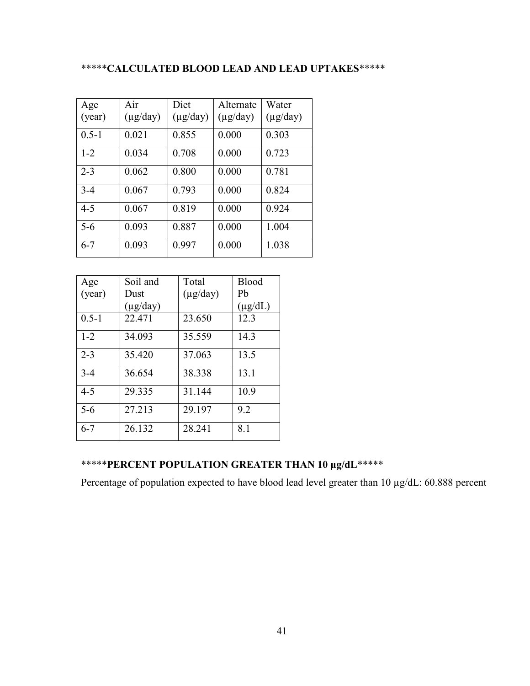### \*\*\*\*\***CALCULATED BLOOD LEAD AND LEAD UPTAKES**\*\*\*\*\*

| Age       | Air           | Diet          | Alternate     | Water         |
|-----------|---------------|---------------|---------------|---------------|
| (year)    | $(\mu g/day)$ | $(\mu g/day)$ | $(\mu g/day)$ | $(\mu g/day)$ |
| $0.5 - 1$ | 0.021         | 0.855         | 0.000         | 0.303         |
| $1 - 2$   | 0.034         | 0.708         | 0.000         | 0.723         |
| $2 - 3$   | 0.062         | 0.800         | 0.000         | 0.781         |
| $3 - 4$   | 0.067         | 0.793         | 0.000         | 0.824         |
| $4 - 5$   | 0.067         | 0.819         | 0.000         | 0.924         |
| $5-6$     | 0.093         | 0.887         | 0.000         | 1.004         |
| $6 - 7$   | 0.093         | 0.997         | 0.000         | 1.038         |

| Age       | Soil and      | Total         | <b>Blood</b> |
|-----------|---------------|---------------|--------------|
| (year)    | Dust          | $(\mu g/day)$ | Pb           |
|           | $(\mu g/day)$ |               | $(\mu g/dL)$ |
| $0.5 - 1$ | 22.471        | 23.650        | 12.3         |
| $1 - 2$   | 34.093        | 35.559        | 14.3         |
| $2 - 3$   | 35.420        | 37.063        | 13.5         |
| $3 - 4$   | 36.654        | 38.338        | 13.1         |
| $4 - 5$   | 29.335        | 31.144        | 10.9         |
| $5 - 6$   | 27.213        | 29.197        | 9.2          |
| $6 - 7$   | 26.132        | 28.241        | 8.1          |

## \*\*\*\*\***PERCENT POPULATION GREATER THAN 10 µg/dL**\*\*\*\*\*

Percentage of population expected to have blood lead level greater than 10  $\mu$ g/dL: 60.888 percent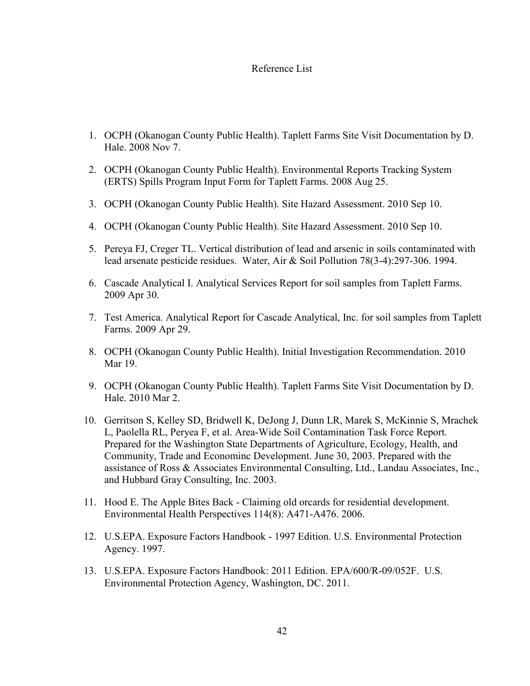#### Reference List

- 1. OCPH (Okanogan County Public Health). Taplett Farms Site Visit Documentation by D. Hale. 2008 Nov 7.
- 2. OCPH (Okanogan County Public Health). Environmental Reports Tracking System (ERTS) Spills Program Input Form for Taplett Farms. 2008 Aug 25.
- 3. OCPH (Okanogan County Public Health). Site Hazard Assessment. 2010 Sep 10.
- 4. OCPH (Okanogan County Public Health). Site Hazard Assessment. 2010 Sep 10.
- 5. Pereya FJ, Creger TL. Vertical distribution of lead and arsenic in soils contaminated with lead arsenate pesticide residues. Water, Air & Soil Pollution 78(3-4):297-306. 1994.
- 6. Cascade Analytical I. Analytical Services Report for soil samples from Taplett Farms. 2009 Apr 30.
- 7. Test America. Analytical Report for Cascade Analytical, Inc. for soil samples from Taplett Farms. 2009 Apr 29.
- 8. OCPH (Okanogan County Public Health). Initial Investigation Recommendation. 2010 Mar 19
- 9. OCPH (Okanogan County Public Health). Taplett Farms Site Visit Documentation by D. Hale. 2010 Mar 2.
- 10. Gerritson S, Kelley SD, Bridwell K, DeJong J, Dunn LR, Marek S, McKinnie S, Mrachek L, Paolella RL, Peryea F, et al. Area-Wide Soil Contamination Task Force Report. Prepared for the Washington State Departments of Agriculture, Ecology, Health, and Community, Trade and Econominc Development. June 30, 2003. Prepared with the assistance of Ross & Associates Environmental Consulting, Ltd., Landau Associates, Inc., and Hubbard Gray Consulting, Inc. 2003.
- 11. Hood E. The Apple Bites Back Claiming old orcards for residential development. Environmental Health Perspectives 114(8): A471-A476. 2006.
- 12. U.S.EPA. Exposure Factors Handbook 1997 Edition. U.S. Environmental Protection Agency. 1997.
- 13. U.S.EPA. Exposure Factors Handbook: 2011 Edition. EPA/600/R-09/052F. U.S. Environmental Protection Agency, Washington, DC. 2011.